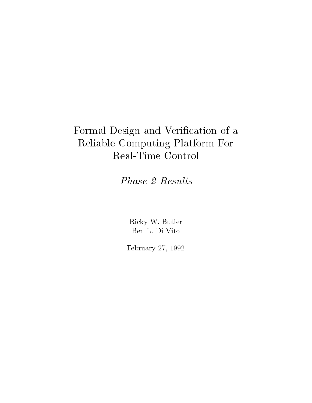# Formal Design and Verification of a Reliable Computing Platform ForReal-Time Control

Phase 2 Results

Ricky W. Butler Ben L. Di Vito

February 27, 1992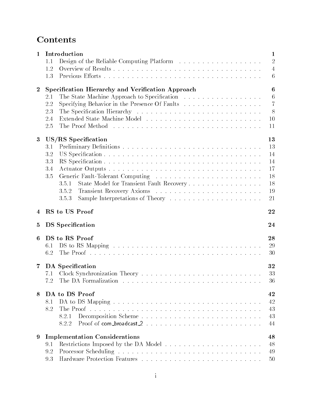# **Contents**

| Specification Hierarchy and Verification Approach                                                                    |  |  |  |  |  |
|----------------------------------------------------------------------------------------------------------------------|--|--|--|--|--|
|                                                                                                                      |  |  |  |  |  |
| Specifying Behavior in the Presence Of Faults                                                                        |  |  |  |  |  |
|                                                                                                                      |  |  |  |  |  |
| 10                                                                                                                   |  |  |  |  |  |
| 11                                                                                                                   |  |  |  |  |  |
|                                                                                                                      |  |  |  |  |  |
| 13                                                                                                                   |  |  |  |  |  |
| 13                                                                                                                   |  |  |  |  |  |
| 14                                                                                                                   |  |  |  |  |  |
| 14                                                                                                                   |  |  |  |  |  |
| 17                                                                                                                   |  |  |  |  |  |
| 18                                                                                                                   |  |  |  |  |  |
| State Model for Transient Fault Recovery<br>18                                                                       |  |  |  |  |  |
| 19                                                                                                                   |  |  |  |  |  |
| 21                                                                                                                   |  |  |  |  |  |
| 22                                                                                                                   |  |  |  |  |  |
|                                                                                                                      |  |  |  |  |  |
| 24                                                                                                                   |  |  |  |  |  |
| 28                                                                                                                   |  |  |  |  |  |
| 29                                                                                                                   |  |  |  |  |  |
| 30                                                                                                                   |  |  |  |  |  |
|                                                                                                                      |  |  |  |  |  |
| 32                                                                                                                   |  |  |  |  |  |
|                                                                                                                      |  |  |  |  |  |
| 33                                                                                                                   |  |  |  |  |  |
| The DA Formalization research is a series of the DA Formalization research in the DA Formalization of the DA F<br>36 |  |  |  |  |  |
|                                                                                                                      |  |  |  |  |  |
| 42                                                                                                                   |  |  |  |  |  |
| 42                                                                                                                   |  |  |  |  |  |
| 43                                                                                                                   |  |  |  |  |  |
| 43                                                                                                                   |  |  |  |  |  |
| 44                                                                                                                   |  |  |  |  |  |
| 48                                                                                                                   |  |  |  |  |  |
| <b>Implementation Considerations</b>                                                                                 |  |  |  |  |  |
| 48<br>49                                                                                                             |  |  |  |  |  |
|                                                                                                                      |  |  |  |  |  |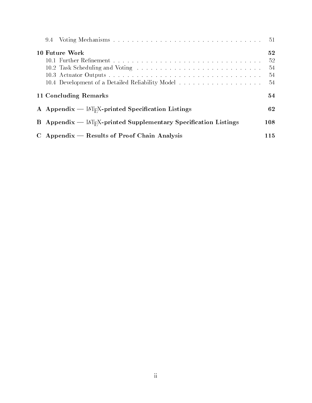|                                                                                          | -51                           |
|------------------------------------------------------------------------------------------|-------------------------------|
| 10 Future Work<br>10.4 Development of a Detailed Reliability Model                       | 52<br>-52<br>54<br>-54<br>-54 |
| 11 Concluding Remarks                                                                    | 54                            |
| A Appendix — $\mathbb{M}_{F}X$ -printed Specification Listings                           | 62                            |
| <b>B</b> Appendix — $\mathbb{A}\Gamma_F X$ -printed Supplementary Specification Listings | 108                           |
| $C$ Appendix — Results of Proof Chain Analysis                                           | 115                           |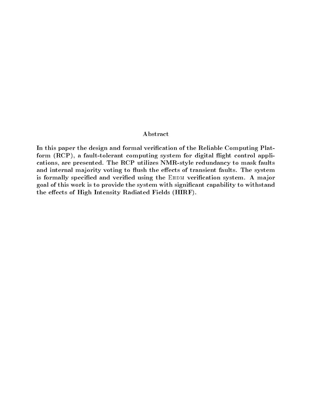#### Abstract

In this paper the design and formal verification of the Reliable Computing Platform (RCP), a fault-tolerant computing system for digital flight control applications, are presented. The RCP utilizes NMR-style redundancy to mask faults and internal majority voting to flush the effects of transient faults. The system is formally specified and verified using the EHDM verification system. A major goal of this work is to provide the system with signicant capability to withstand the effects of High Intensity Radiated Fields (HIRF).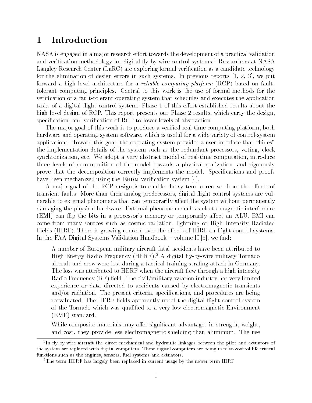#### **Introduction**  $\mathbf{1}$

NASA is engaged in a major research effort towards the development of a practical validation and verification methodology for digital fly-by-wire control systems.<sup>1</sup> Researchers at NASA Langley Research Center (LaRC) are exploring formal verification as a candidate technology for the elimination of design errors in such systems. In previous reports [1, 2, 3], we put forward a high level architecture for a *reliable computing platform* (RCP) based on faulttolerant computing principles. Central to this work is the use of formal methods for the verication of a fault-tolerant operating system that schedules and executes the application tasks of a digital flight control system. Phase 1 of this effort established results about the high level design of RCP. This report presents our Phase 2 results, which carry the design, specification, and verification of RCP to lower levels of abstraction.

The major goal of this work is to produce a verified real-time computing platform, both hardware and operating system software, which is useful for a wide variety of control-system applications. Toward this goal, the operating system provides a user interface that "hides" the implementation details of the system such as the redundant processors, voting, clock synchronization, etc. We adopt a very abstract model of real-time computation, introduce three levels of decomposition of the model towards a physical realization, and rigorously prove that the decomposition correctly implements the model. Specications and proofs have been mechanized using the EHDM verification system  $[4]$ .

A major goal of the RCP design is to enable the system to recover from the effects of transient faults. More than their analog predecessors, digital 
ight control systems are vulnerable to external phenomena that can temporarily affect the system without permanently damaging the physical hardware. External phenomena such as electromagnetic interference (EMI) can flip the bits in a processor's memory or temporarily affect an ALU. EMI can come from many sources such as cosmic radiation, lightning or High Intensity Radiated Fields (HIRF). There is growing concern over the effects of HIRF on flight control systems. In the FAA Digital Systems Validation Handbook  $-$  volume II [5], we find:

A number of European military aircraft fatal accidents have been attributed to High Energy Radio Frequency (HERF).<sup>2</sup> A digital fly-by-wire military Tornado aircraft and crew were lost during a tactical training strafing attack in Germany. The loss was attributed to HERF when the aircraft flew through a high intensity Radio Frequency  $(RF)$  field. The civil/military aviation industry has very limited experience or data directed to accidents caused by electromagnetic transients and/or radiation. The present criteria, specifications, and procedures are being reevaluated. The HERF fields apparently upset the digital flight control system of the Tornado which was qualied to a very low electromagnetic Environment (EME) standard.

While composite materials may offer significant advantages in strength, weight, and cost, they provide less electromagnetic shielding than aluminum. The use

<sup>1</sup> In 
y-by-wire aircraft the direct mechanical and hydraulic linkages between the pilot and actuators of the system are replaced with digital computers. These digital computers are being used to control life critical functions such as the engines, sensors, fuel systems and actuators.

<sup>&</sup>lt;sup>2</sup>The term HERF has largely been replaced in current usage by the newer term HIRF.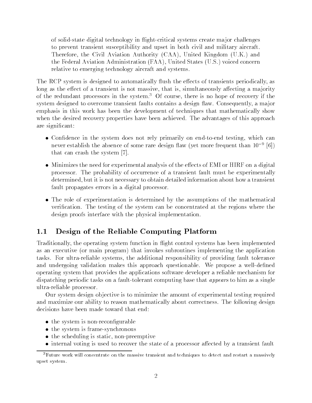of solid-state digital technology in 
ight-critical systems create ma jor challenges to prevent transient susceptibility and upset in both civil and military aircraft. Therefore, the Civil Aviation Authority (CAA), United Kingdom (U.K.) and the Federal Aviation Administration (FAA), United States (U.S.) voiced concern relative to emerging technology aircraft and systems.

The RCP system is designed to automatically flush the effects of transients periodically, as long as the effect of a transient is not massive, that is, simultaneously affecting a majority of the redundant processors in the system.3 Of course, there is no hope of recovery if the system designed to overcome transient faults contains a design flaw. Consequently, a major emphasis in this work has been the development of techniques that mathematically show when the desired recovery properties have been achieved. The advantages of this approach are signicant:

- $\bullet$  Connaence in the system does not rely primarily on end-to-end testing, which can never establish the absence of some rare design haw (yet more frequent than 10  $^{\circ}$  [6])  $^{\circ}$ that can crash the system [7].
- $\bullet$  -Minimizes the need for experimental analysis of the effects of EMI or HIRF on a digital processor. The probability of occurrence of a transient fault must be experimentally determined, but it is not necessary to obtain detailed information about how a transient fault propagates errors in a digital processor.
- $\bullet$  -fine role of experimentation is determined by the assumptions of the mathematical verification. The testing of the system can be concentrated at the regions where the design proofs interface with the physical implementation.

# 1.1 Design of the Reliable Computing Platform

Traditionally, the operating system function in flight control systems has been implemented as an executive (or main program) that invokes subroutines implementing the application tasks. For ultra-reliable systems, the additional responsibility of providing fault tolerance and undergoing validation makes this approach questionable. We propose a well-defined operating system that provides the applications software developer a reliable mechanism for dispatching periodic tasks on a fault-tolerant computing base that *appears* to him as a single ultra-reliable processor.

Our system design ob jective is to minimize the amount of experimental testing required and maximize our ability to reason mathematically about correctness. The following design decisions have been made toward that end:

- $\bullet$  the system is non-reconfigurable  $\bullet$
- $\bullet$  the system is frame-synchronous
- $\bullet$  the scheduling is static, non-preemptive
- $\bullet$  internal voting is used to recover the state of a processor affected by a transient fault  $\phantom{a}$

<sup>3</sup>Future work will concentrate on the massive transient and techniques to detect and restart a massively upset system.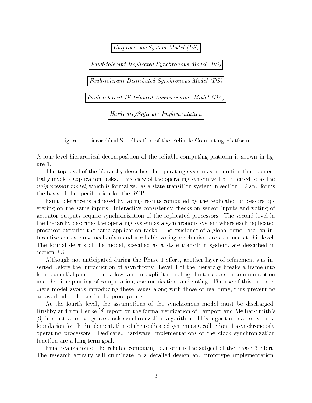

Figure 1: Hierarchical Specification of the Reliable Computing Platform.

A four-level hierarchical decomposition of the reliable computing platform is shown in gure 1.

The top level of the hierarchy describes the operating system as a function that sequentially invokes application tasks. This view of the operating system will be referred to as the uniprocessor model, which is formalized as a state transition system in section 3.2 and forms the basis of the specication for the RCP.

Fault tolerance is achieved by voting results computed by the replicated processors operating on the same inputs. Interactive consistency checks on sensor inputs and voting of actuator outputs require synchronization of the replicated processors. The second level in the hierarchy describes the operating system as a synchronous system where each replicated processor executes the same application tasks. The existence of a global time base, an interactive consistency mechanism and a reliable voting mechanism are assumed at this level. The formal details of the model, specified as a state transition system, are described in section 3.3.

Although not anticipated during the Phase 1 effort, another layer of refinement was inserted before the introduction of asynchrony. Level 3 of the hierarchy breaks a frame into four sequential phases. This allows a more explicit modeling of interprocessor communication and the time phasing of computation, communication, and voting. The use of this intermediate model avoids introducing these issues along with those of real time, thus preventing an overload of details in the proof process.

At the fourth level, the assumptions of the synchronous model must be discharged. Rushby and von Henke [8] report on the formal verication of Lamport and Melliar-Smith's [9] interactive-convergence clock synchronization algorithm. This algorithm can serve as a foundation for the implementation of the replicated system as a collection of asynchronously operating processors. Dedicated hardware implementations of the clock synchronization function are a long-term goal.

Final realization of the reliable computing platform is the subject of the Phase 3 effort. The research activity will culminate in a detailed design and prototype implementation.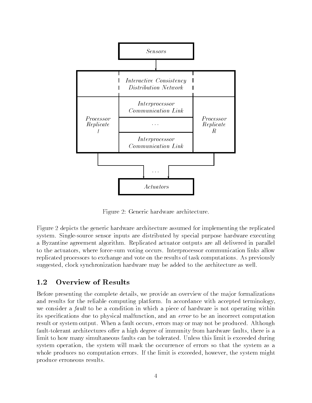

Figure 2: Generic hardware architecture.

Figure 2 depicts the generic hardware architecture assumed for implementing the replicated system. Single-source sensor inputs are distributed by special purpose hardware executing a Byzantine agreement algorithm. Replicated actuator outputs are all delivered in parallel to the actuators, where force-sum voting occurs. Interprocessor communication links allow replicated processors to exchange and vote on the results of task computations. As previously suggested, clock synchronization hardware may be added to the architecture as well.

Before presenting the complete details, we provide an overview of the ma jor formalizations and results for the reliable computing platform. In accordance with accepted terminology, we consider a *fault* to be a condition in which a piece of hardware is not operating within its specications due to physical malfunction, and an error to be an incorrect computation result or system output. When a fault occurs, errors may or may not be produced. Although fault-tolerant architectures offer a high degree of immunity from hardware faults, there is a limit to how many simultaneous faults can be tolerated. Unless this limit is exceeded during system operation, the system will mask the occurrence of errors so that the system as a whole produces no computation errors. If the limit is exceeded, however, the system might produce erroneous results.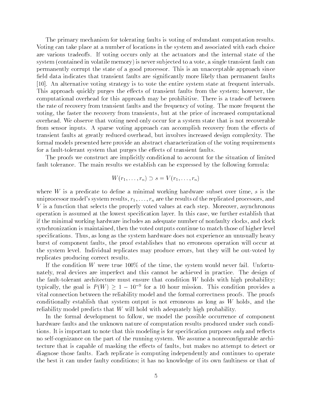The primary mechanism for tolerating faults is voting of redundant computation results. Voting can take place at a number of locations in the system and associated with each choice are various tradeoffs. If voting occurs only at the actuators and the internal state of the system (contained in volatile memory) is never sub jected to a vote, a single transient fault can permanently corrupt the state of a good processor. This is an unacceptable approach since field data indicates that transient faults are significantly more likely than permanent faults [10]. An alternative voting strategy is to vote the entire system state at frequent intervals. This approach quickly purges the effects of transient faults from the system; however, the computational overhead for this approach may be prohibitive. There is a trade-off between the rate of recovery from transient faults and the frequency of voting. The more frequent the voting, the faster the recovery from transients, but at the price of increased computational overhead. We observe that voting need only occur for a system state that is not recoverable from sensor inputs. A sparse voting approach can accomplish recovery from the effects of transient faults at greatly reduced overhead, but involves increased design complexity. The formal models presented here provide an abstract characterization of the voting requirements for a fault-tolerant system that purges the effects of transient faults.

The proofs we construct are implicitly conditional to account for the situation of limited fault tolerance. The main results we establish can be expressed by the following formula:

$$
W(r_1,\ldots,r_n) \supset s = V(r_1,\ldots,r_n)
$$

where  $W$  is a predicate to define a minimal working hardware subset over time,  $s$  is the uniprocessor model's system results,  $r_1, \ldots, r_n$  are the results of the replicated processors, and V is a function that selects the properly voted values at each step. Moreover, asynchronous operation is assumed at the lowest specification layer. In this case, we further establish that if the minimal working hardware includes an adequate number of nonfaulty clocks, and clock synchronization is maintained, then the voted outputs continue to match those of higher level specifications. Thus, as long as the system hardware does not experience an unusually heavy burst of component faults, the proof establishes that no erroneous operation will occur at the system level. Individual replicates may produce errors, but they will be out-voted by replicates producing correct results.

If the condition W were true  $100\%$  of the time, the system would never fail. Unfortunately, real devices are imperfect and this cannot be achieved in practice. The design of the fault-tolerant architecture must ensure that condition  $W$  holds with high probability; typically, the goal is  $P(W) \geq 1 - 10$  for a 10 hour mission. This condition provides a vital connection between the reliability model and the formal correctness proofs. The proofs conditionally establish that system output is not erroneous as long as  $W$  holds, and the reliability model predicts that W will hold with adequately high probability.

In the formal development to follow, we model the possible occurrence of component hardware faults and the unknown nature of computation results produced under such conditions. It is important to note that this modeling is for specification purposes *only* and reflects no self-cognizance on the part of the running system. We assume a nonreconfigurable architecture that is capable of masking the effects of faults, but makes no attempt to detect or diagnose those faults. Each replicate is computing independently and continues to operate the best it can under faulty conditions; it has no knowledge of its own faultiness or that of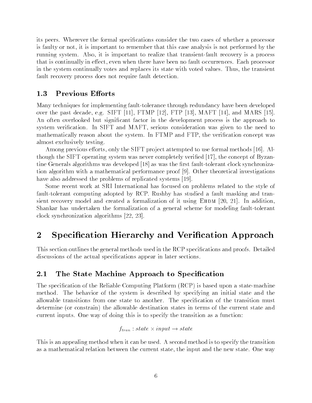its peers. Wherever the formal specications consider the two cases of whether a processor is faulty or not, it is important to remember that this case analysis is not performed by the running system. Also, it is important to realize that transient-fault recovery is a process that is continually in effect, even when there have been no fault occurrences. Each processor in the system continually votes and replaces its state with voted values. Thus, the transient fault recovery process does not require fault detection.

# 1.3 Previous Efforts

Many techniques for implementing fault-tolerance through redundancy have been developed over the past decade, e.g. SIFT [11], FTMP [12], FTP [13], MAFT [14], and MARS [15]. An often overlooked but signicant factor in the development process is the approach to system verification. In SIFT and MAFT, serious consideration was given to the need to mathematically reason about the system. In FTMP and FTP, the verification concept was almost exclusively testing.

Among previous efforts, only the SIFT project attempted to use formal methods [16]. Although the SIFT operating system was never completely veried [17], the concept of Byzantine Generals algorithms was developed  $\vert 18 \vert$  as was the first fault-tolerant clock synchronization algorithm with a mathematical performance proof [9]. Other theoretical investigations have also addressed the problems of replicated systems [19].

Some recent work at SRI International has focused on problems related to the style of fault-tolerant computing adopted by RCP. Rushby has studied a fault masking and transient recovery model and created a formalization of it using  $E$ HDM [20, 21]. In addition, Shankar has undertaken the formalization of a general scheme for modeling fault-tolerant clock synchronization algorithms [22, 23].

# 2 Specification Hierarchy and Verification Approach

This section outlines the general methods used in the RCP specifications and proofs. Detailed discussions of the actual specifications appear in later sections.

# 2.1 The State Machine Approach to Specification

The specification of the Reliable Computing Platform (RCP) is based upon a state-machine method. The behavior of the system is described by specifying an initial state and the allowable transitions from one state to another. The specification of the transition must determine (or constrain) the allowable destination states in terms of the current state and current inputs. One way of doing this is to specify the transition as a function:

$$
f_{tran}: state \times input \rightarrow state
$$

This is an appealing method when it can be used. A second method is to specify the transition as a mathematical relation between the current state, the input and the new state. One way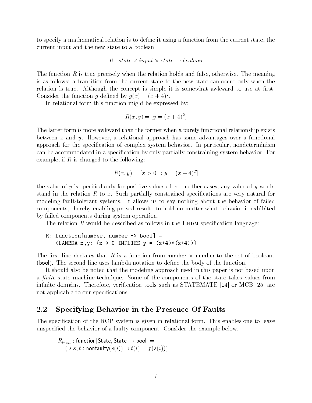to specify a mathematical relation is to dene it using a function from the current state, the current input and the new state to a boolean:

#### $R$  : state  $\times$  input  $\times$  state  $\rightarrow$  bootean

The function R is true precisely when the relation holds and false, otherwise. The meaning is as follows: a transition from the current state to the new state can occur only when the relation is true. Although the concept is simple it is somewhat awkward to use at first. Consider the function q defined by  $q(x) = (x + 4)^2$ .

In relational form this function might be expressed by:

$$
R(x, y) = [y = (x + 4)^2]
$$

The latter form is more awkward than the former when a purely functional relationship exists between x and y. However, a relational approach has some advantages over a functional approach for the specication of complex system behavior. In particular, nondeterminism can be accommodated in a specification by only partially constraining system behavior. For example, if  $R$  is changed to the following:

$$
R(x, y) = [x > 0 \supset y = (x + 4)^2]
$$

the value of y is specified only for positive values of x. In other cases, any value of y would stand in the relation  $R$  to  $x$ . Such partially constrained specifications are very natural for modeling fault-tolerant systems. It allows us to say nothing about the behavior of failed components, thereby enabling proved results to hold no matter what behavior is exhibited by failed components during system operation.

The relation R would be described as follows in the EHDM specification language:

R: function[number, number -> bool] = 
$$
(LAMBDA x, y: (x > 0 IMPLIES y = (x+4)*(x+4)))
$$

The first line declares that  $R$  is a function from number  $\times$  number to the set of booleans (bool). The second line uses lambda notation to dene the body of the function.

It should also be noted that the modeling approach used in this paper is not based upon a *finite* state machine technique. Some of the components of the state takes values from infinite domains. Therefore, verification tools such as STATEMATE [24] or MCB [25] are not applicable to our specifications.

#### 2.2 Specifying Behavior in the Presence Of Faults

The specification of the RCP system is given in relational form. This enables one to leave unspecied the behavior of a faulty component. Consider the example below.

$$
R_{tran} : \text{function}[State, State \rightarrow bool] = \\
 (\lambda s, t : \text{nonfaulty}(s(i)) \supset t(i) = f(s(i)))
$$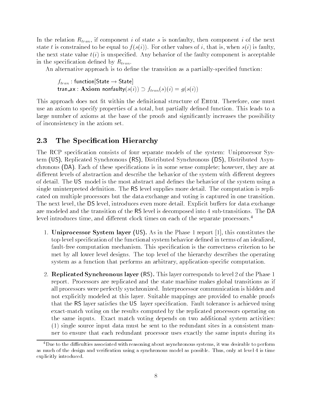In the relation  $R_{tran}$ , if component i of state s is nonfaulty, then component i of the next state t is constrained to be equal to  $f(s(i))$ . For other values of i, that is, when  $s(i)$  is faulty, the next state value  $t(i)$  is unspecified. Any behavior of the faulty component is acceptable in the specification defined by  $R_{tran}$ .

An alternative approach is to define the transition as a partially-specified function:

 $f_{tran}$  : function[State  $\rightarrow$  State] tran ax : Axiom nonfaulty $(s(i)) \supset f_{tran}(s)(i) = g(s(i))$ 

This approach does not fit within the definitional structure of EHDM. Therefore, one must use an axiom to specify properties of a total, but partially dened function. This leads to a large number of axioms at the base of the proofs and signicantly increases the possibility of inconsistency in the axiom set.

### 2.3 The Specification Hierarchy

The RCP specification consists of four separate models of the system: Uniprocessor System (US), Replicated Synchronous (RS), Distributed Synchronous (DS), Distributed Asynchronous (DA). Each of these specications is in some sense complete; however, they are at different levels of abstraction and describe the behavior of the system with different degrees of detail. The US model is the most abstract and defines the behavior of the system using a single uninterpreted definition. The RS level supplies more detail. The computation is replicated on multiple processors but the data exchange and voting is captured in one transition. The next level, the DS level, introduces even more detail. Explicit buffers for data exchange are modeled and the transition of the RS level is decomposed into 4 sub-transitions. The DA level introduces time, and different clock times on each of the separate processors.<sup>4</sup>

- 1. Uniprocessor System layer (US). As in the Phase 1 report [1], this constitutes the top-level specification of the functional system behavior defined in terms of an idealized, fault-free computation mechanism. This specification is the correctness criterion to be met by all lower level designs. The top level of the hierarchy describes the operating system as a function that performs an arbitrary, application-specic computation.
- 2. Replicated Synchronous layer (RS). This layer corresponds to level 2 of the Phase 1 report. Processors are replicated and the state machine makes global transitions as if all processors were perfectly synchronized. Interprocessor communication is hidden and not explicitly modeled at this layer. Suitable mappings are provided to enable proofs that the RS layer satisfies the US layer specification. Fault tolerance is achieved using exact-match voting on the results computed by the replicated processors operating on the same inputs. Exact match voting depends on two additional system activities: (1) single source input data must be sent to the redundant sites in a consistent manner to ensure that each redundant processor uses exactly the same inputs during its

<sup>&</sup>lt;sup>4</sup>Due to the difficulties associated with reasoning about asynchronous systems, it was desirable to perform as much of the design and verification using a synchronous model as possible. Thus, only at level 4 is time explicitly introduced.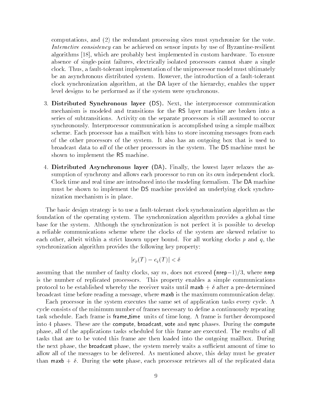computations, and (2) the redundant processing sites must synchronize for the vote. Interactive consistency can be achieved on sensor inputs by use of Byzantine-resilient algorithms [18], which are probably best implemented in custom hardware. To ensure absence of single-point failures, electrically isolated processors cannot share a single clock. Thus, a fault-tolerant implementation of the uniprocessor model must ultimately be an asynchronous distributed system. However, the introduction of a fault-tolerant clock synchronization algorithm, at the DA layer of the hierarchy, enables the upper level designs to be performed as if the system were synchronous.

- 3. Distributed Synchronous layer (DS). Next, the interprocessor communication mechanism is modeled and transitions for the RS layer machine are broken into a series of subtransitions. Activity on the separate processors is still assumed to occur synchronously. Interprocessor communication is accomplished using a simple mailbox scheme. Each processor has a mailbox with bins to store incoming messages from each of the other processors of the system. It also has an outgoing box that is used to broadcast data to all of the other processors in the system. The DS machine must be shown to implement the RS machine.
- 4. Distributed Asynchronous layer (DA). Finally, the lowest layer relaxes the assumption of synchrony and allows each processor to run on its own independent clock. Clock time and real time are introduced into the modeling formalism. The DA machine must be shown to implement the DS machine provided an underlying clock synchronization mechanism is in place.

The basic design strategy is to use a fault-tolerant clock synchronization algorithm as the foundation of the operating system. The synchronization algorithm provides a global time base for the system. Although the synchronization is not perfect it is possible to develop a reliable communications scheme where the clocks of the system are skewed relative to each other, albeit within a strict known upper bound. For all working clocks p and q, the synchronization algorithm provides the following key property:

$$
|c_p(T) - c_q(T)| < \delta
$$

assuming that the number of faulty clocks, say m, does not exceed (nrep-1)/3, where nrep is the number of replicated processors. This property enables a simple communications protocol to be established whereby the receiver waits until  $\text{maxb} + \delta$  after a pre-determined broadcast time before reading a message, where maxb is the maximum communication delay.

Each processor in the system executes the same set of application tasks every cycle. A cycle consists of the minimum number of frames necessary to define a continuously repeating task schedule. Each frame is frame time units of time long. A frame is further decomposed into 4 phases. These are the compute, broadcast, vote and sync phases. During the compute phase, all of the applications tasks scheduled for this frame are executed. The results of all tasks that are to be voted this frame are then loaded into the outgoing mailbox. During the next phase, the **broadcast** phase, the system merely waits a sufficient amount of time to allow all of the messages to be delivered. As mentioned above, this delay must be greater than maxb  $+ \delta$ . During the vote phase, each processor retrieves all of the replicated data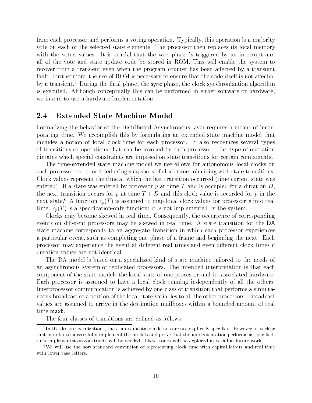from each processor and performs a voting operation. Typically, this operation is a ma jority vote on each of the selected state elements. The processor then replaces its local memory with the voted values. It is crucial that the vote phase is triggered by an interrupt and all of the vote and state-update code be stored in ROM. This will enable the system to recover from a transient even when the program counter has been affected by a transient fault. Furthermore, the use of ROM is necessary to ensure that the code itself is not affected by a transient.<sup>5</sup> During the final phase, the sync phase, the clock synchronization algorithm is executed. Although conceptually this can be performed in either software or hardware, we intend to use a hardware implementation.

#### 2.4 **Extended State Machine Model**

Formalizing the behavior of the Distributed Asynchronous layer requires a means of incorporating time. We accomplish this by formulating an extended state machine model that includes a notion of local clock time for each processor. It also recognizes several types of transitions or operations that can be invoked by each processor. The type of operation dictates which special constraints are imposed on state transitions for certain components.

The time-extended state machine model we use allows for autonomous local clocks on each processor to be modeled using snapshots of clock time coinciding with state transitions. Clock values represent the time at which the last transition occurred (time current state was entered). If a state was entered by processor p at time T and is occupied for a duration  $D$ . the next transition occurs for p at time  $T + D$  and this clock value is recorded for p in the next state.<sup>6</sup> A function  $c_p(T)$  is assumed to map local clock values for processor p into real time.  $c_p(T)$  is a specification-only function; it is not implemented by the system.

Clocks may become skewed in real time. Consequently, the occurrence of corresponding events on different processors may be skewed in real time. A state transition for the DA state machine corresponds to an aggregate transition in which each processor experiences a particular event, such as completing one phase of a frame and beginning the next. Each processor may experience the event at different real times and even different clock times if duration values are not identical.

The DA model is based on a specialized kind of state machine tailored to the needs of an asynchronous system of replicated processors. The intended interpretation is that each component of the state models the local state of one processor and its associated hardware. Each processor is assumed to have a local clock running independently of all the others. Interprocessor communication is achieved by one class of transition that performs a simultaneous broadcast of a portion of the local state variables to all the other processors. Broadcast values are assumed to arrive in the destination mailboxes within a bounded amount of real time maxb.

The four classes of transitions are defined as follows:

<sup>5</sup> In the design specications, these implementation details are not explicitly specied. However, it is clear that in order to successfully implement the models and prove that the implementation performs as specied, such implementation constructs will be needed. These issues will be explored in detail in future work.

<sup>&</sup>lt;sup>6</sup>We will use the now standard convention of representing clock time with capital letters and real time with lower case letters.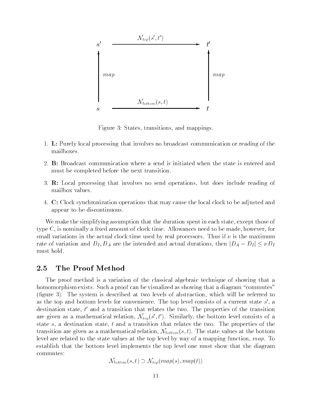

Figure 3: States, transitions, and mappings.

- 1. L: Purely local processing that involves no broadcast communication or reading of the mailboxes.
- 2. B: Broadcast communication where a send is initiated when the state is entered and must be completed before the next transition.
- 3. R: Local processing that involves no send operations, but does include reading of mailbox values.
- 4. C: Clock synchronization operations that may cause the local clock to be adjusted and appear to be discontinuous.

We make the simplifying assumption that the duration spent in each state, except those of type  $C$ , is nominally a fixed amount of clock time. Allowances need to be made, however, for small variations in the actual clock time used by real processors. Thus if  $\nu$  is the maximum rate of variation and  $D_I, D_A$  are the intended and actual durations, then  $|D_A - D_I| \leq \nu D_I$ must hold.

#### 2.5 The Proof Method

The proof method is a variation of the classical algebraic technique of showing that a homomorphism exists. Such a proof can be visualized as showing that a diagram "commutes" (figure 3). The system is described at two levels of abstraction, which will be referred to as the top and bottom levels for convenience. The top level consists of a current state  $s$  , a  $\,$ destination state,  $t$  and a transition that relates the two. The properties of the transition are given as a mathematical relation,  $\mathcal{N}_{top}(s,t)$ . Similarly, the bottom level consists of a state s, a destination state, t and a transition that relates the two. The properties of the transition are given as a mathematical relation,  $\mathcal{N}_{bottom}(s, t)$ . The state values at the bottom level are related to the state values at the top level by way of a mapping function, map. To establish that the bottom level implements the top level one must show that the diagram commutes:

 $\mathcal{N}_{bottom}(s, t) \supset \mathcal{N}_{top}(map(s), map(t))$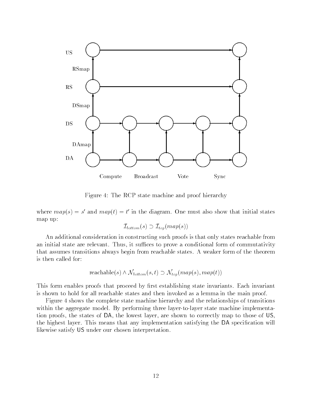

Figure 4: The RCP state machine and proof hierarchy

where  $map(s) = s$  and  $map(t) = t$  in the diagram. One must also show that initial states map up:

$$
{\cal I}_{bottom}(s) \supset {\cal I}_{top}(map(s))
$$

An additional consideration in constructing such proofs is that only states reachable from an initial state are relevant. Thus, it suffices to prove a conditional form of commutativity that assumes transitions always begin from reachable states. A weaker form of the theorem is then called for:

$$
reachable(s) \land \mathcal{N}_{bottom}(s, t) \supset \mathcal{N}_{top}(map(s), map(t))
$$

This form enables proofs that proceed by first establishing state invariants. Each invariant is shown to hold for all reachable states and then invoked as a lemma in the main proof.

Figure 4 shows the complete state machine hierarchy and the relationships of transitions within the aggregate model. By performing three layer-to-layer state machine implementation proofs, the states of DA, the lowest layer, are shown to correctly map to those of US, the highest layer. This means that any implementation satisfying the DA specication will likewise satisfy US under our chosen interpretation.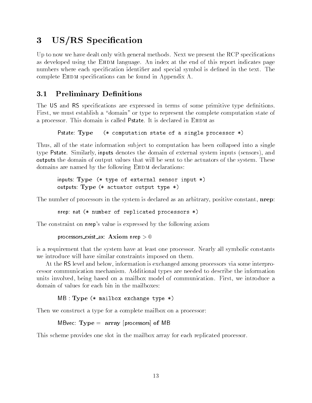# 3 US/RS Specification

Up to now we have dealt only with general methods. Next we present the RCP specifications as developed using the EHDM language. An index at the end of this report indicates page numbers where each specification identifier and special symbol is defined in the text. The complete EHDM specifications can be found in Appendix A.

#### $3.1$ **Preliminary Definitions**

The US and RS specifications are expressed in terms of some primitive type definitions. First, we must establish a "domain" or type to represent the complete computation state of a processor. This domain is called Pstate. It is declared in EHDM as

Pstate: Type (\* computation state of a single processor \*)

Thus, all of the state information sub ject to computation has been collapsed into a single type Pstate. Similarly, inputs denotes the domain of external system inputs (sensors), and outputs the domain of output values that will be sent to the actuators of the system. These domains are named by the following EHDM declarations:

```
inputs: Type (* type of external sensor input *)
outputs: Type (* actuator output type *)
```
The number of processors in the system is declared as an arbitrary, positive constant, nrep:

nrep: nat (\* number of replicated processors \*)

The constraint on nrep's value is expressed by the following axiom

```
processors exist ax: Axiom nrep > 0
```
is a requirement that the system have at least one processor. Nearly all symbolic constants we introduce will have similar constraints imposed on them.

At the RS level and below, information is exchanged among processors via some interprocessor communication mechanism. Additional types are needed to describe the information units involved, being based on a mailbox model of communication. First, we introduce a domain of values for each bin in the mailboxes:

```
MB : Type (* mailbox exchange type *)
```
Then we construct a type for a complete mailbox on a processor:

```
MBvec: Type = array [processors] of MB
```
This scheme provides one slot in the mailbox array for each replicated processor.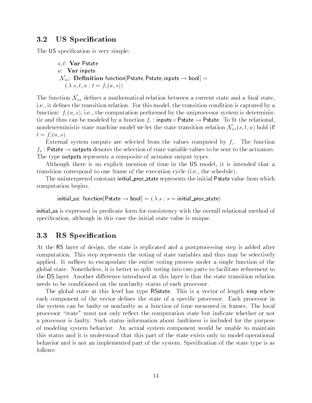### 3.2 US Specification

The US specification is very simple:

```
s, t: Var Pstate
u: Var inputs
\mathcal{N}_{us}: Definition function[Pstate, Pstate, inputs \rightarrow bool] =
   (\lambda s, t, u : t = f_c(u, s))
```
The function  $\mathcal{N}_{us}$  defines a mathematical relation between a current state and a final state, i.e., it defines the transition relation. For this model, the transition condition is captured by a function:  $f_c(u, s)$ , i.e., the computation performed by the uniprocessor system is deterministic and thus can be modeled by a function  $f_c$  : inputs  $\times$  Pstate  $\rightarrow$  Pstate. To ht the relational, nondeterministic state machine model we let the state transition relation  $\mathcal{N}_{us}(s,t,u)$  hold iff  $t = f_c(u, s)$ .

External system outputs are selected from the values computed by  $f_c$ . The function  $f_a$  : Pstate  $\rightarrow$  outputs denotes the selection of state variable values to be sent to the actuators. The type outputs represents a composite of actuator output types.

Although there is no explicit mention of time in the US model, it is intended that a transition correspond to one frame of the execution cycle (i.e., the schedule).

The uninterpreted constant initial\_proc\_state represents the initial Pstate value from which computation begins.

initial us: function  $[Pstate \rightarrow bool] = (\lambda s : s = initial\_proc\_state)$ 

initial us is expressed in predicate form for consistency with the overall relational method of specification, although in this case the initial state value is unique.

### 3.3 RS Specification

At the RS layer of design, the state is replicated and a postprocessing step is added after computation. This step represents the voting of state variables and thus may be selectively applied. It suffices to encapsulate the entire voting process under a single function of the global state. Nonetheless, it is better to split voting into two parts to facilitate renement to the DS layer. Another difference introduced at this layer is that the state transition relation needs to be conditioned on the nonfaulty status of each processor.

The global state at this level has type RSstate. This is a vector of length nrep where each component of the vector defines the state of a specific processor. Each processor in the system can be faulty or nonfaulty as a function of time measured in frames. The local processor "state" must not only reflect the computation state but indicate whether or not a processor is faulty. Such status information about faultiness is included for the purpose of modeling system behavior. An actual system component would be unable to maintain this status and it is understood that this part of the state exists only to model operational behavior and is not an implemented part of the system. Specication of the state type is as follows: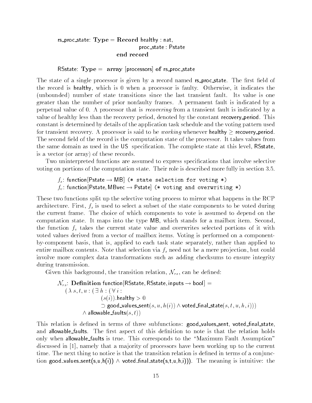### rs\_proc\_state:  $Type = Record$  healthy : nat, proc\_state : Pstate end record

#### $\textsf{RSstate}\colon \mathbf{Type} \, = \, \, \texttt{array} \, \, \texttt{[processors]} \, \, \texttt{of} \, \, \texttt{rs\_proc\_state}$

The state of a single processor is given by a record named rs\_proc\_state. The first field of the record is healthy, which is 0 when a processor is faulty. Otherwise, it indicates the (unbounded) number of state transitions since the last transient fault. Its value is one greater than the number of prior nonfaulty frames. A permanent fault is indicated by a perpetual value of 0. A processor that is recovering from a transient fault is indicated by a value of healthy less than the recovery period, denoted by the constant recovery period. This constant is determined by details of the application task schedule and the voting pattern used for transient recovery. A processor is said to be *working* whenever healthy  $\geq$  recovery period. The second field of the record is the computation state of the processor. It takes values from the same domain as used in the US specification. The complete state at this level, RSstate, is a vector (or array) of these records.

Two uninterpreted functions are assumed to express specications that involve selective voting on portions of the computation state. Their role is described more fully in section 3.5.

 $f_s$ : function Pstate  $\rightarrow$  MB (\* state selection for voting \*)  $f_v$ : function [Pstate, MBvec  $\rightarrow$  Pstate] (\* voting and overwriting \*)

These two functions split up the selective voting process to mirror what happens in the RCP architecture. First,  $f_s$  is used to select a subset of the state components to be voted during the current frame. The choice of which components to vote is assumed to depend on the computation state. It maps into the type MB, which stands for a mailbox item. Second, the function  $f_v$  takes the current state value and overwrites selected portions of it with voted values derived from a vector of mailbox items. Voting is performed on a componentby-component basis, that is, applied to each task state separately, rather than applied to entire mailbox contents. Note that selection via  $f_s$  need not be a mere projection, but could involve more complex data transformations such as adding checksums to ensure integrity during transmission.

Given this background, the transition relation,  $\mathcal{N}_{rs}$ , can be defined:

$$
\mathcal{N}_{rs}: \textbf{Definition function}[{\sf RState},{\sf RState}\text{, inputs}\to \text{bool}]=\\\hspace*{1.5cm}(\lambda \ s, t, u: (\exists \ h: (\forall \ i: \newline (s(i)).\text{healthly}>0 \newline \hspace*{1.5cm} \supset {\sf good\_values\_sent}(s, u, h(i)) \wedge \text{voted\_final\_state}(s, t, u, h, i))) \wedge \hspace*{1.5cm} \text{allowable\_faults}(s, t))
$$

This relation is defined in terms of three subfunctions: good\_values\_sent, voted\_final\_state, and allowable faults. The first aspect of this definition to note is that the relation holds only when allowable faults is true. This corresponds to the "Maximum Fault Assumption" discussed in [1], namely that a ma jority of processors have been working up to the current time. The next thing to notice is that the transition relation is defined in terms of a conjunction good\_values\_sent(s,u,h(i))  $\wedge$  voted\_final\_state(s,t,u,h,i))). The meaning is intuitive: the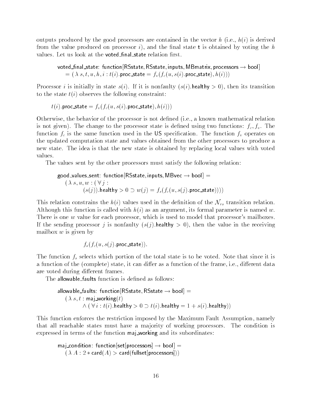outputs produced by the good processors are contained in the vector h (i.e.,  $h(i)$  is derived from the value produced on processor i), and the final state  $t$  is obtained by voting the h values. Let us look at the voted final state relation first.

voted final state: function [RSstate, RSstate, inputs, MB matrix, processors  $\rightarrow$  bool]  $s=(\ \lambda \ s, t, u, h, i : t(i)$ . proc\_state  $= f_v(f_c(u, s(i)$ . proc\_state $), h(i)))$ 

Processor *i* is initially in state  $s(i)$ . If it is nonfaulty  $(s(i)$ . healthy  $> 0$ , then its transition to the state  $t(i)$  observes the following constraint:

 $t(i)$ . proc\_state =  $f_v(f_c(u, s(i))$ . proc\_state),  $h(i))$ 

Otherwise, the behavior of the processor is not dened (i.e., a known mathematical relation is not given). The change to the processor state is defined using two functions:  $f_c, f_v$ . The function  $f_c$  is the same function used in the US specification. The function  $f_v$  operates on the updated computation state and values obtained from the other processors to produce a new state. The idea is that the new state is obtained by replacing local values with voted values.

The values sent by the other processors must satisfy the following relation:

good\_values\_sent: function RSstate, inputs, MBvec  $\rightarrow$  bool] =  $(\lambda s, u, w : (\forall j:$  $(s(j))$ .healthy  $> 0 \supset w(j) = f_s(f_c(u, s(j))$ .proc\_state)))

This relation constrains the  $h(i)$  values used in the definition of the  $\mathcal{N}_{rs}$  transition relation. Although this function is called with  $h(i)$  as an argument, its formal parameter is named w. There is one w value for each processor, which is used to model that processor's mailboxes. If the sending processor j is nonfaulty  $(s(j)$ . healthy  $> 0$ , then the value in the receiving mailbox  $w$  is given by

$$
f_s(f_c(u,s(j).\mathsf{proc\_state})).
$$

The function  $f_s$  selects which portion of the total state is to be voted. Note that since it is a function of the (complete) state, it can differ as a function of the frame, i.e., different data are voted during different frames.

The allowable\_faults function is defined as follows:

allowable-faults: function [RSstate, RSstate 
$$
\rightarrow
$$
 bool] =

\n $(\lambda s, t : \text{maj\_working}(t)$ 

\n $\land (\forall i : t(i)$ .  
\n**healthy** > 0  $\supset t(i)$ .  
\n**healthy** = 1 + s(i).  
\n**healthy**)

This function enforces the restriction imposed by the Maximum Fault Assumption, namely that all reachable states must have a ma jority of working processors. The condition is expressed in terms of the function maj working and its subordinates:

```
maj_{\text{condition:}} function set processors ] \rightarrow \text{bool} =
    (\lambda A: 2 * \text{card}(A) > \text{card}(\text{fullset}[\text{processors}]))
```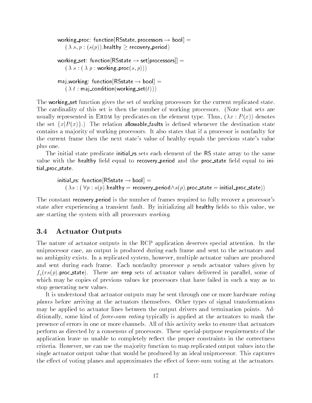```
working proc: function RS state, processors \rightarrow bool] =
    (\lambda s, p : (s(p)).healthy \geq recovery period)
working set: function [RSstate \rightarrow set[processors]] =(\lambda s : (\lambda p : \text{working\_proc}(s, p)))maj_working: function [RSstate \rightarrow bool] =(\lambda t : \mathsf{maj\_condition}(\mathsf{working\_set}(t)))
```
The working set function gives the set of working processors for the current replicated state. The cardinality of this set is then the number of working processors. (Note that sets are usually represented in EHDM by predicates on the element type. Thus,  $(\lambda x : P(x))$  denotes the set  $\{x | P(x)\}\.$ ) The relation allowable faults is defined whenever the destination state contains a ma jority of working processors. It also states that if a processor is nonfaulty for the current frame then the next state's value of healthy equals the previous state's value plus one.

The initial state predicate initial rs sets each element of the RS state array to the same value with the healthy field equal to recovery period and the proc state field equal to initial proc state.

initial rs: function  $[RSstate \rightarrow bool] =$  $(\lambda s : (\forall p : s(p) \cdot \text{health} y = \text{recovery-period} \land s(p) \cdot \text{proc\_state = initial\_proc\_state})$ 

The constant recovery period is the number of frames required to fully recover a processor's state after experiencing a transient fault. By initializing all healthy fields to this value, we are starting the system with all processors working.

### 3.4 Actuator Outputs

The nature of actuator outputs in the RCP application deserves special attention. In the uniprocessor case, an output is produced during each frame and sent to the actuators and no ambiguity exists. In a replicated system, however, multiple actuator values are produced and sent during each frame. Each nonfaulty processor p sends actuator values given by  $f_a(rs(p).proc\_state)$ . There are nrep sets of actuator values delivered in parallel, some of which may be copies of previous values for processors that have failed in such a way as to stop generating new values.

It is understood that actuator outputs may be sent through one or more hardware voting planes before arriving at the actuators themselves. Other types of signal transformations may be applied to actuator lines between the output drivers and termination points. Additionally, some kind of force-sum voting typically is applied at the actuators to mask the presence of errors in one or more channels. All of this activity seeks to ensure that actuators perform as directed by a consensus of processors. These special-purpose requirements of the application leave us unable to completely reflect the proper constraints in the correctness criteria. However, we can use the ma jority function to map replicated output values into the single actuator output value that would be produced by an ideal uniprocessor. This captures the effect of voting planes and approximates the effect of force-sum voting at the actuators.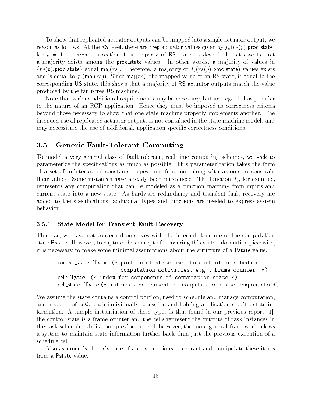To show that replicated actuator outputs can be mapped into a single actuator output, we reason as follows. At the RS level, there are nrep actuator values given by  $f_a(rs(p))$ . proc\_state) for  $p = 1, \ldots,$  nrep. In section 4, a property of RS states is described that asserts that a majority exists among the **proc\_state** values. In other words, a majority of values in  $\{rs(p)$  proc\_state} equal maj(rs). Therefore, a majority of  $f_a(rs(p))$  proc\_state) values exists and is equal to  $f_a(\text{maj}(rs))$ . Since maj(rs), the mapped value of an RS state, is equal to the corresponding US state, this shows that a ma jority of RS actuator outputs match the value produced by the fault-free US machine.

Note that various additional requirements may be necessary, but are regarded as peculiar to the nature of an RCP application. Hence they must be imposed as correctness criteria beyond those necessary to show that one state machine properly implements another. The intended use of replicated actuator outputs is not contained in the state machine models and may necessitate the use of additional, application-specic correctness conditions.

### 3.5 Generic Fault-Tolerant Computing

To model a very general class of fault-tolerant, real-time computing schemes, we seek to parameterize the specications as much as possible. This parameterization takes the form of a set of uninterpreted constants, types, and functions along with axioms to constrain their values. Some instances have already been introduced. The function  $f_c$ , for example represents any computation that can be modeled as a function mapping from inputs and current state into a new state. As hardware redundancy and transient fault recovery are added to the specifications, additional types and functions are needed to express system behavior.

#### 3.5.1 State Model for Transient Fault Recovery

Thus far, we have not concerned ourselves with the internal structure of the computation state Pstate. However, to capture the concept of recovering this state information piecewise, it is necessary to make some minimal assumptions about the structure of a Pstate value.

```
control state: Type (* portion of state used to control or schedule
                    computation activities, e.g., frame counter *)
cell: Type (* index for components of computation state *)
cell state: Type (* information content of computation state components *)
```
We assume the state contains a control portion, used to schedule and manage computation, and a vector of cells, each individually accessible and holding application-specific state information. A sample instantiation of these types is that found in our previous report [1]: the control state is a frame counter and the cells represent the outputs of task instances in the task schedule. Unlike our previous model, however, the more general framework allows a system to maintain state information further back than just the previous execution of a schedule cell.

Also assumed is the existence of access functions to extract and manipulate these items from a Pstate value.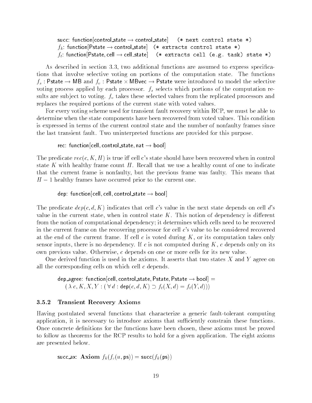succ: function control state  $\rightarrow$  control state  $\rightarrow$  (\* next control state \*)  $f_k$ : function $[\mathsf{Pstate} \to \mathsf{control\_state}]$  (\* extracts control state \*)  $f_t$ : function[Pstate,cell  $\rightarrow$  cell\_state] (\* extracts cell (e.g. task) state \*)

As described in section 3.3, two additional functions are assumed to express specications that involve selective voting on portions of the computation state. The functions  $f_s$  : Pstate  $\rightarrow$  MB and  $f_v$  : Pstate  $\times$  MBvec  $\rightarrow$  Pstate were introduced to model the selective voting process applied by each processor.  $f_s$  selects which portions of the computation results are subject to voting.  $f<sub>v</sub>$  takes these selected values from the replicated processors and replaces the required portions of the current state with voted values.

For every voting scheme used for transient fault recovery within RCP, we must be able to determine when the state components have been recovered from voted values. This condition is expressed in terms of the current control state and the number of nonfaulty frames since the last transient fault. Two uninterpreted functions are provided for this purpose.

```
rec: function [cell, control_state, nat \rightarrow bool]
```
The predicate  $rec(c, K, H)$  is true iff cell c's state should have been recovered when in control state K with healthy frame count  $H$ . Recall that we use a healthy count of one to indicate that the current frame is nonfaulty, but the previous frame was faulty. This means that  $H-1$  healthy frames have occurred prior to the current one.

dep: function[cell, cell, control\_state  $\rightarrow$  bool]

The predicate  $dep(c, d, K)$  indicates that cell c's value in the next state depends on cell d's value in the current state, when in control state  $K$ . This notion of dependency is different from the notion of computational dependency; it determines which cells need to be recovered in the current frame on the recovering processor for cell c's value to be considered recovered at the end of the current frame. If cell c is voted during  $K$ , or its computation takes only sensor inputs, there is no dependency. If c is not computed during  $K$ , c depends only on its own previous value. Otherwise, c depends on one or more cells for its new value.

One derived function is used in the axioms. It asserts that two states  $X$  and  $Y$  agree on all the corresponding cells on which cell c depends.

dep agree: function [cell, control\_state, Pstate, Pstate  $\rightarrow$  bool] =  $(\lambda c, K, X, Y : (\forall d : \text{dep}(c, d, K) \supset f_t(X, d) = f_t(Y, d)))$ 

#### 3.5.2 Transient Recovery Axioms

Having postulated several functions that characterize a generic fault-tolerant computing application, it is necessary to introduce axioms that sufficiently constrain these functions. Once concrete definitions for the functions have been chosen, these axioms must be proved to follow as theorems for the RCP results to hold for a given application. The eight axioms are presented below.

succ ax: Axiom  $f_k(f_c(u, \text{ps})) = \text{succ}(f_k(\text{ps}))$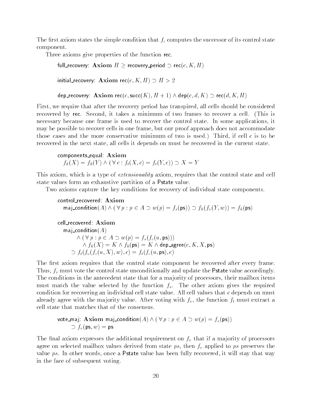The first axiom states the simple condition that  $f_c$  computes the successor of its control state component.

Three axioms give properties of the function rec.

full recovery: Axiom  $H \ge$  recovery period  $\supset$  rec $(c, K, H)$ 

initial recovery: Axiom rec $(c, K, H) \supset H > 2$ 

dep recovery: Axiom rec(c, succ(K),  $H + 1$ )  $\wedge$  dep(c, d, K)  $\supset$  rec(d, K, H)

First, we require that after the recovery period has transpired, all cells should be considered recovered by rec. Second, it takes a minimum of two frames to recover a cell. (This is necessary because one frame is used to recover the control state. In some applications, it may be possible to recover cells in one frame, but our proof approach does not accommodate those cases and the more conservative minimum of two is used.) Third, if cell  $c$  is to be recovered in the next state, all cells it depends on must be recovered in the current state.

components equal: Axiom  $f_k(X) = f_k(Y) \wedge (\forall c : f_t(X, c) = f_t(Y, c)) \supset X = Y$ 

This axiom, which is a type of *extensionality* axiom, requires that the control state and cell state values form an exhaustive partition of a Pstate value.

Two axioms capture the key conditions for recovery of individual state components.

<code>control\_recovered:  $\bm{\mathrm{A}}$ xiom</code> maj\_condition $(A) \wedge (\forall p : p \in A \supset w(p) = f_s(\text{ps})) \supset f_k(f_v(Y,w)) = f_k(\text{ps})$ 

$$
\begin{array}{ll}\text{cell\_recovered:} & \textbf{Axiom} \\ \text{maj-condition}(A) & \\ & \wedge \left( \forall \, p: p \in A \supset w(p) = f_s(f_c(u, \text{ps}))) \right. \\ & \wedge f_k(X) = K \wedge f_k(\text{ps}) = K \wedge \text{dep\_agree}(c, K, X, \text{ps}) \\ & \supset f_t(f_v(f_c(u, X), w), c) = f_t(f_c(u, \text{ps}), c) \end{array}
$$

The first axiom requires that the control state component be recovered after every frame. Thus,  $f_v$  must vote the control state unconditionally and update the Pstate value accordingly. The conditions in the antecedent state that for a majority of processors, their mailbox items must match the value selected by the function  $f_s$ . The other axiom gives the required condition for recovering an individual cell state value. All cell values that  $c$  depends on must already agree with the majority value. After voting with  $f_v$ , the function  $f_t$  must extract a cell state that matches that of the consensus.

\n
$$
\text{vote\_maj: Axiom maj\_condition}(A) \land (\forall p : p \in A \supset w(p) = f_s(\text{ps}))
$$
\n

\n\n $\supset f_v(\text{ps}, w) = \text{ps}$ \n

The final axiom expresses the additional requirement on  $f<sub>v</sub>$  that if a majority of processors agree on selected mailbox values derived from state  $ps$ , then  $f<sub>v</sub>$  applied to  $ps$  preserves the value ps. In other words, once a Pstate value has been fully recovered, it will stay that way in the face of subsequent voting.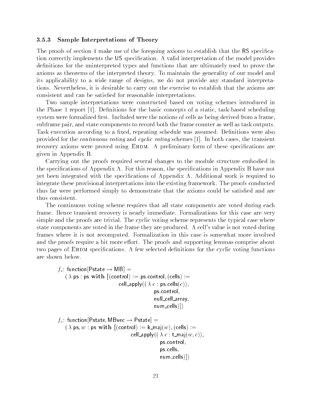#### 3.5.3 Sample Interpretations of Theory

The proofs of section 4 make use of the foregoing axioms to establish that the RS specication correctly implements the US specification. A valid interpretation of the model provides definitions for the uninterpreted types and functions that are ultimately used to prove the axioms as theorems of the interpreted theory. To maintain the generality of our model and its applicability to a wide range of designs, we do not provide any standard interpretations. Nevertheless, it is desirable to carry out the exercise to establish that the axioms are consistent and can be satised for reasonable interpretations.

Two sample interpretations were constructed based on voting schemes introduced in the Phase 1 report  $[1]$ . Definitions for the basic concepts of a static, task-based scheduling system were formalized first. Included were the notions of cells as being derived from a frame, subframe pair, and state components to record both the frame counter as well as task outputs. Task execution according to a fixed, repeating schedule was assumed. Definitions were also provided for the continuous voting and cyclic voting schemes [1]. In both cases, the transient recovery axioms were proved using EHDM. A preliminary form of these specifications are given in Appendix B.

Carrying out the proofs required several changes to the module structure embodied in the specications of Appendix A. For this reason, the specications in Appendix B have not yet been integrated with the specications of Appendix A. Additional work is required to integrate these provisional interpretations into the existing framework. The proofs conducted thus far were performed simply to demonstrate that the axioms could be satisfied and are thus consistent.

The continuous voting scheme requires that all state components are voted during each frame. Hence transient recovery is nearly immediate. Formalizations for this case are very simple and the proofs are trivial. The cyclic voting scheme represents the typical case where state components are voted in the frame they are produced. A cell's value is not voted during frames where it is not recomputed. Formalization in this case is somewhat more involved and the proofs require a bit more effort. The proofs and supporting lemmas comprise about two pages of EHDM specifications. A few selected definitions for the cyclic voting functions are shown below.

```
f_s: function [Pstate \rightarrow MB] =(\lambda \text{ ps}: \text{ ps with } [(\text{control}):= \text{ps.contrib}, (\text{cells}):=cell_apply((\lambda c : \text{ps.cells}(c)),ps:control;
                                                         null_cell_array,
                                                         num cells)|)f_v : function[Pstate, MBvec \rightarrow Pstate] =(\lambda \text{ ps}, w : \text{ ps with } [(\text{control}) := \textsf{k\_maj}(w), (\text{cells}) :=cell_apply((\lambda c : t_maj(w, c)),
                                                            ps:control;
                                                            ps:cells;
                                                            num cells)])
```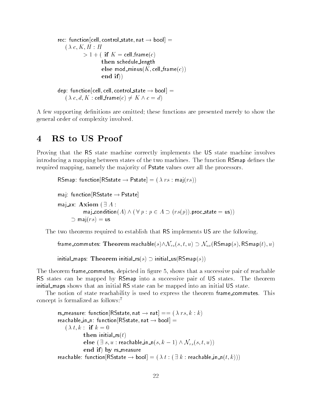```
rec: function [cell, control_state, nat \rightarrow bool] =
   (\lambda c, K, H : H)> 1+( if K = cell_frame(c)
                     then schedule length
                     else mod_minus(K, cell_frame(c))
                     end if))
dep: function[cell, cell, control_state \rightarrow bool] =(\lambda c, d, K : \text{cell} \text{frame}(c) \neq K \land c = d)
```
A few supporting definitions are omitted; these functions are presented merely to show the general order of complexity involved.

# 4 RS to US Proof

 $\supset$  maj(rs) = us

Proving that the RS state machine correctly implements the US state machine involves introducing a mapping between states of the two machines. The function RSmap defines the required mapping, namely the majority of Pstate values over all the processors.

```
\mathsf{RSmap}\colon\mathsf{function}[\mathsf{RSstate}\to\mathsf{Pstate}]=(\ \lambda\ rs:\mathsf{maj}(rs))maj: function [RSstate \rightarrow Pstate]
maj ax: Axiom (\exists A:
                \textsf{maj\_condition}(A) \land (\forall p : p \in A \supset (rs(p)).\textsf{proc\_state} = \textsf{us}))
```
The two theorems required to establish that RS implements US are the following.

frame commutes: Theorem reachable(s) $\wedge \mathcal{N}_{rs}(s, t, u) \supset \mathcal{N}_{us}(RSmap(s), RSmap(t), u)$ 

initial maps: Theorem initial  $rs(s) \supset$  initial us(RS map(s))

The theorem frame commutes, depicted in figure 5, shows that a successive pair of reachable RS states can be mapped by RSmap into a successive pair of US states. The theorem initial maps shows that an initial RS state can be mapped into an initial US state.

The notion of state reachability is used to express the theorem frame commutes. This concept is formalized as follows:7

```
rs measure: function [RSstate, nat \rightarrow nat] == ( \lambda rs, k : k)
reachable in n: function [RSstate, nat \rightarrow bool] =
    (\lambda t, k : if k = 0then initial rs(t)else (\exists s, u : reachable in n(s, k-1) \wedge \mathcal{N}_{rs}(s, t, u))end if) by rs_measure
reachable: function [{\sf RSstate} \to {\sf bool}]=(\lambda t : (\exists k : {\sf reachable\_in\_n}(t, k)))
```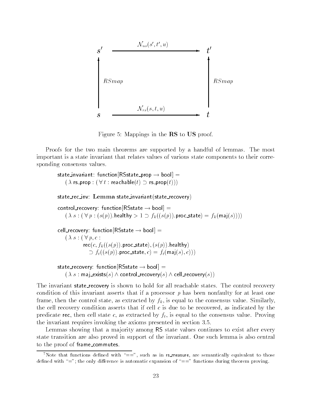![](_page_26_Figure_0.jpeg)

Figure 5: Mappings in the RS to US proof.

Proofs for the two main theorems are supported by a handful of lemmas. The most important is a state invariant that relates values of various state components to their corresponding consensus values.

```
state invariant: function [RSstate\_prop \rightarrow bool] =(\lambda rs_prop : (\forall t : \text{reachable}(t) \supset \text{rs\_prop}(t)))state rec inv: Lemma state invariant(state recovery)
control_recovery: function [RSstate \rightarrow bool] =(\lambda s : (\forall p : (s(p)).healthy > 1 \supset f_k((s(p)).proc_state) = f_k(\textsf{maj}(s)))cell_recovery: function [RSstate \rightarrow bool] =(\lambda s : (\forall p, c :rec(c, f_k((s(p)).proc_state), (s(p)).healthy)
                \cup J_t((s(p)).proc_state, c) = f_t(\text{maj}(s), c)))
```
state recovery: function  $[RSstate \rightarrow bool] =$  $(\lambda s : \mathsf{maj}\_\mathsf{exists}(s) \land \mathsf{control}\_\mathsf{recovery}(s) \land \mathsf{cell}\_\mathsf{recovery}(s))$ 

The invariant state\_recovery is shown to hold for all reachable states. The control recovery condition of this invariant asserts that if a processor  $p$  has been nonfaulty for at least one frame, then the control state, as extracted by  $f_k$ , is equal to the consensus value. Similarly, the cell recovery condition asserts that if cell  $c$  is due to be recovered, as indicated by the predicate rec, then cell state c, as extracted by  $f_t$ , is equal to the consensus value. Proving the invariant requires invoking the axioms presented in section 3.5.

Lemmas showing that a majority among RS state values continues to exist after every state transition are also proved in support of the invariant. One such lemma is also central to the proof of frame commutes.

<sup>&</sup>lt;sup>7</sup>Note that functions defined with " $==$ ", such as in rs measure, are semantically equivalent to those defined with "="; the only difference is automatic expansion of "==" functions during theorem proving.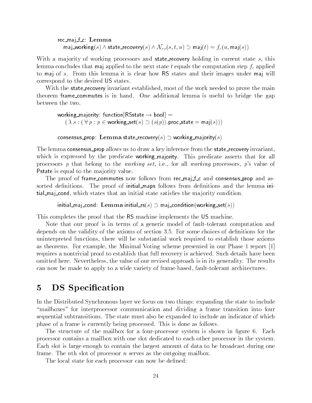rec\_maj\_f\_c: Lemma maj\_working(s)  $\wedge$  state\_recovery(s)  $\wedge N_{rs}(s, t, u) \supset$  maj $(t) = f_c(u, \text{maj}(s))$ 

With a majority of working processors and **state\_recovery** holding in current state s, this lemma concludes that maj applied to the next state t equals the computation step  $f_c$  applied to maj of s. From this lemma it is clear how RS states and their images under maj will correspond to the desired US states.

With the state recovery invariant established, most of the work needed to prove the main theorem frame commutes is in hand. One additional lemma is useful to bridge the gap between the two.

working majority: function  $[RSstate \rightarrow bool] =$  $(x \cdot s : (\forall p : p \in \text{working\_set}(s) \supset (s(p)).$ proc\_state  $= \textsf{maj}(s)))$ 

consensus prop: Lemma state recovery(s)  $\supset$  working majority(s)

The lemma consensus prop allows us to draw a key inference from the state recovery invariant, which is expressed by the predicate working majority. This predicate asserts that for all processors p that belong to the working set, i.e., for all working processors, p's value of Pstate is equal to the ma jority value.

The proof of frame commutes now follows from rec\_maj\_f\_c and consensus\_prop and assorted definitions. The proof of initial maps follows from definitions and the lemma intial maj cond, which states that an initial state satises the ma jority condition.

initial maj cond: Lemma initial  $rs(s) \supset$  maj condition (working set(s))

This completes the proof that the RS machine implements the US machine.

Note that our proof is in terms of a generic model of fault-tolerant computation and depends on the validity of the axioms of section 3.5. For some choices of definitions for the uninterpreted functions, there will be substantial work required to establish those axioms as theorems. For example, the Minimal Voting scheme presented in our Phase 1 report [1] requires a nontrivial proof to establish that full recovery is achieved. Such details have been omitted here. Nevertheless, the value of our revised approach is in its generality. The results can now be made to apply to a wide variety of frame-based, fault-tolerant architectures.

# 5 DS Specification

In the Distributed Synchronous layer we focus on two things: expanding the state to include "mailboxes" for interprocessor communication and dividing a frame transition into four sequential subtransitions. The state must also be expanded to include an indicator of which phase of a frame is currently being processed. This is done as follows.

The structure of the mailbox for a four-processor system is shown in figure 6. Each processor contains a mailbox with one slot dedicated to each other processor in the system. Each slot is large enough to contain the largest amount of data to be broadcast during one frame. The nth slot of processor  $n$  serves as the outgoing mailbox.

The local state for each processor can now be defined: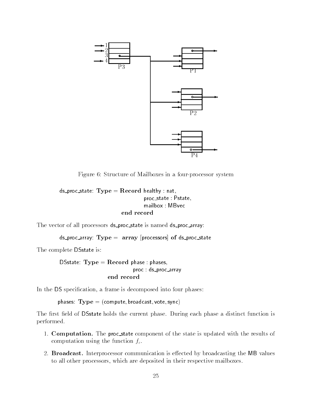![](_page_28_Figure_0.jpeg)

Figure 6: Structure of Mailboxes in a four-processor system

```
ds_proc_state: Type = Record healthy : nat,
                               proc_state: Pstate,
                               mailbox : MBvec
                       end record
```
The vector of all processors ds\_proc\_state is named ds\_proc\_array:

 $ds$ -proc array: Type = array [processors] of ds-proc state

The complete DSstate is:

DSstate:  $Type = Record$  phase: phases, proc : ds\_proc\_array end record

In the DS specification, a frame is decomposed into four phases:

phases:  $Type = (compute, broadcast, vote, sync)$ 

The first field of DSstate holds the current phase. During each phase a distinct function is performed.

- 1. Computation. The proc state component of the state is updated with the results of computation using the function  $f_c$ .
- 2. Broadcast. Interprocessor communication is effected by broadcasting the MB values to all other processors, which are deposited in their respective mailboxes.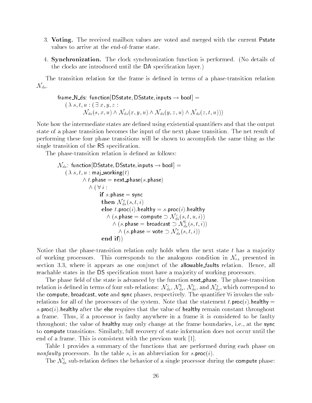- 3. Voting. The received mailbox values are voted and merged with the current Pstate values to arrive at the end-of-frame state.
- 4. Synchronization. The clock synchronization function is performed. (No details of the clocks are introduced until the DA specication layer.)

The transition relation for the frame is defined in terms of a phase-transition relation  $\mathcal{N}_{ds}.$ 

$$
\begin{array}{ll}\textsf{frame\_N\_ds: } \textsf{function}[\textsf{DState},\textsf{DState},\textsf{inputs}\rightarrow \textsf{bool}]\, = \\ (\,\lambda \, s, t, u\, : (\exists \, x, y, z\, : \\ \mathcal{N}_{ds}(s, x, u) \land \mathcal{N}_{ds}(x, y, u) \land \mathcal{N}_{ds}(y, z, u) \land \mathcal{N}_{ds}(z, t, u)))\, \end{array}
$$

Note how the intermediate states are defined using existential quantifiers and that the output state of a phase transition becomes the input of the next phase transition. The net result of performing these four phase transitions will be shown to accomplish the same thing as the single transition of the RS specication.

The phase-transition relation is defined as follows:

$$
\begin{aligned} \mathcal{N}_{ds}:~\text{function}[\text{DState},\text{DState},\text{inputs}\rightarrow\text{bool}] &= \\ &(\ \lambda \ s,\ t,\ u:~\text{maj\_working}(t) \\ &\qquad \wedge \ t.\text{phase} =~\text{next\_phase}(s.\text{phase}) \\ &\qquad \wedge (\ \forall \ i: \\ & \qquad \text{if } s.\text{phase} =~\text{sync} \\ & \qquad \text{then } \mathcal{N}_{ds}^s(s,t,i) \\ & \qquad \text{else } t.\text{proc}(i).\text{health}y = s.\text{proc}(i).\text{health}y \\ &\qquad \wedge (s.\text{phase} =~\text{compute} \supset \mathcal{N}_{ds}^c(s,t,u,i)) \\ &\qquad \wedge (s.\text{phase} =~\text{broadcast} \supset \mathcal{N}_{ds}^b(s,t,i)) \\ &\qquad \wedge (s.\text{phase} =~\text{vote} \supset \mathcal{N}_{ds}^v(s,t,i)) \\ & \qquad \text{end if})) \\ & \qquad \text{end if})) \end{aligned}
$$

Notice that the phase-transition relation only holds when the next state  $t$  has a majority of working processors. This corresponds to the analogous condition in  $\mathcal{N}_{rs}$  presented in section 3.3, where it appears as one conjunct of the allowable faults relation. Hence, all reachable states in the DS specification must have a majority of working processors.

The phase field of the state is advanced by the function next-phase. The phase-transition relation is defined in terms of four sub-relations:  $\mathcal{N}_{ds}, \mathcal{N}_{ds}, \mathcal{N}_{ds}$  and  $\mathcal{N}_{ds},$  which correspond to the compute, broadcast, vote and sync phases, respectively. The quantifier  $\forall i$  invokes the subrelations for all of the processors of the system. Note that the statement t.proc(i).healthy = s.  $proc(i)$ . healthy after the else requires that the value of healthy remain constant throughout a frame. Thus, if a processor is faulty anywhere in a frame it is considered to be faulty throughout; the value of healthy may only change at the frame boundaries, i.e., at the sync to compute transitions. Similarly, full recovery of state information does not occur until the end of a frame. This is consistent with the previous work [1].

Table 1 provides a summary of the functions that are performed during each phase on nonfaulty processors. In the table  $s_i$  is an abbreviation for s.proc(i).

The  $\mathcal{N}_{ds}^c$  sub-relation defines the behavior of a single processor during the compute phase: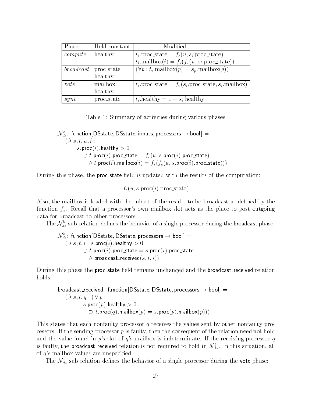| Phase     | Held constant | Modified                                                        |  |
|-----------|---------------|-----------------------------------------------------------------|--|
| compute   | healthy       | $t_i.\text{proc\_state} = f_c(u, s_i.\text{proc\_state})$       |  |
|           |               | $t_i$ .mailbox $(i) = f_s(f_c(u, s_i)$ .proc_state))            |  |
| broadcast | proc_state    | $(\forall p : t_i \text{.mainbox}(p) = s_p \text{.mainbox}(p))$ |  |
|           | healthy       |                                                                 |  |
| vote      | mailbox       | $t_i$ .proc_state = $f_v(s_i)$ .proc_state, $s_i$ .mailbox)     |  |
|           | healthy       |                                                                 |  |
| sync      | proc_state    | $t_i$ healthy $= 1 + s_i$ healthy                               |  |

Table 1: Summary of activities during various phases

 $N$   $_{ds}$  : function[DSstate, DSstate, inputs, processors  $\rightarrow$  bool]  $\,=\,$  $(\lambda s, t, u, i)$ s.proc(i).healthy  $> 0$  $U$   $t$ .proc $(t)$ .proc\_state  $= J_c(u, s)$ .proc $(t)$ .proc\_state)  $\wedge$  t.proc(t).mailbox(t) =  $f_s(f_c(u, s.\mathsf{proc}(t).\mathsf{proc\_state})))$ 

During this phase, the **proc**\_state field is updated with the results of the computation:

 $f_c(u, s.\text{proc}(i).\text{proc\_state})$ 

Also, the mailbox is loaded with the subset of the results to be broadcast as defined by the function  $f_s$ . Recall that a processor's own mailbox slot acts as the place to post outgoing data for broadcast to other processors.

The  $\mathcal{N}_{ds}^s$  sub-relation defines the behavior of a single processor during the **broadcast** phase:

$$
\mathcal{N}_{ds}^b\colon\text{function}[{\sf DState},{\sf DState},\text{processors}\to\text{bool}]=\\\begin{array}{l}(\text{$\lambda$ s, t, i : s.\text{proc}(i).{\sf healthly}>0\\\supset t.\text{proc}(i).\text{proc\_state}=s.\text{proc}(i).\text{proc\_state}\\ \text{$\wedge$ broadcast\_received}(s,t,i))\end{array}
$$

During this phase the proc\_state field remains unchanged and the broadcast\_received relation holds:

$$
\begin{array}{ll}\texttt{broadcast\_received:~function}[\texttt{DSstate},\texttt{DSstate},\texttt{processors}\rightarrow\texttt{bool}]= \\ & (\lambda~s,t,q:(\forall~p:\\ & s.\texttt{proc}(p).\texttt{healthy}>0 \\ & \supset t.\texttt{proc}(q).\texttt{mailbox}(p)=s.\texttt{proc}(p).\texttt{mailbox}(p)))\end{array}
$$

This states that each nonfaulty processor q receives the values sent by other nonfaulty processors. If the sending processor  $p$  is faulty, then the consequent of the relation need not hold and the value found in  $p$ 's slot of  $q$ 's mailbox is indeterminate. If the receiving processor  $q$ is faulty, the **broadcast\_received** relation is not required to hold in  $\mathcal{N}_{ds}$ . In this situation, all of  $q$ 's mailbox values are unspecified.

The  $\mathcal{N}_{ds}^{v}$  sub-relation defines the behavior of a single processor during the vote phase: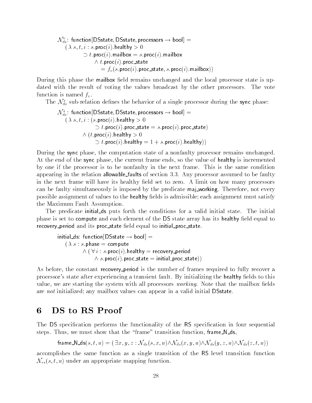$\mathcal{N}_{ds}:$  function[DSstate, DSstate, processors  $\rightarrow$  bool]  $\equiv$  $(\lambda s, t, i : s.\textsf{proc}(i).$ healthy  $> 0$  $\cup$   $\iota$ .proc( $\iota$ ).mailbox  $=s$ .proc( $\iota$ ).mailbox  $\wedge$  t.proc(t).proc\_state  $= f_v(s.\text{proc}(i).\text{proc\_state}, s.\text{proc}(i).\text{mailbox}))$ 

During this phase the mailbox field remains unchanged and the local processor state is updated with the result of voting the values broadcast by the other processors. The vote function is named  $f_v$ .

The  $\mathcal{N}_{ds}^{s}$  sub-relation defines the behavior of a single processor during the sync phase:

$$
\begin{array}{ll} \mathcal{N}_{ds}^s \colon \text{function}[\text{DState, DState, processors} \to \text{bool}] = \\ & (\lambda \ s, t, i : (s.\text{proc}(i).\text{healthy} > 0 \\ & \supset t.\text{proc}(i).\text{proc\_state} = s.\text{proc}(i).\text{proc\_state}) \\ & \wedge \left(t.\text{proc}(i).\text{healthy} > 0 \\ & \supset t.\text{proc}(i).\text{healthy} = 1 + s.\text{proc}(i).\text{healthy})\right) \end{array}
$$

During the sync phase, the computation state of a nonfaulty processor remains unchanged. At the end of the sync phase, the current frame ends, so the value of healthy is incremented by one if the processor is to be nonfaulty in the next frame. This is the same condition appearing in the relation allowable faults of section 3.3. Any processor assumed to be faulty in the next frame will have its healthy field set to zero. A limit on how many processors can be faulty simultaneously is imposed by the predicate maj working. Therefore, not every possible assignment of values to the healthy fields is admissible; each assignment must satisfy the Maximum Fault Assumption.

The predicate initial ds puts forth the conditions for a valid initial state. The initial phase is set to compute and each element of the DS state array has its healthy field equal to recovery period and its proc state field equal to initial proc state.

$$
\begin{aligned}\n\text{initial\_ds: function}[\text{DState} \rightarrow \text{bool}] &= \\
(\lambda \ s : s.\text{phase} = \text{compute} \\
&\wedge (\forall i : s.\text{proc}(i).\text{health}y = \text{recovery\_period} \\
&\wedge s.\text{proc}(i).\text{proc\_state} = \text{initial\_proc\_state}))\n\end{aligned}
$$

As before, the constant recovery period is the number of frames required to fully recover a processor's state after experiencing a transient fault. By initializing the healthy fields to this value, we are starting the system with all processors *working*. Note that the mailbox fields are not initialized; any mailbox values can appear in a valid initial DSstate.

#### DS to RS Proof 6

The DS specification performs the functionality of the RS specification in four sequential steps. Thus, we must show that the "frame" transition function, frame N\_ds,

frame  $N_d s(s, t, u) = (\exists x, y, z : \mathcal{N}_{ds}(s, x, u) \wedge \mathcal{N}_{ds}(x, y, u) \wedge \mathcal{N}_{ds}(y, z, u) \wedge \mathcal{N}_{ds}(z, t, u))$ 

accomplishes the same function as a single transition of the RS level transition function  $\mathcal{N}_{rs}(s,t,u)$  under an appropriate mapping function.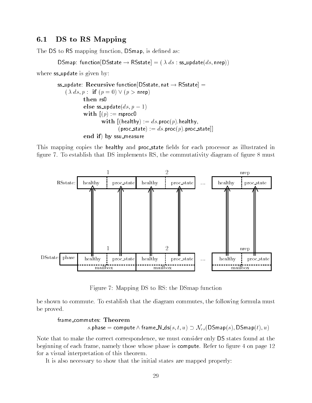### 6.1 DS to RS Mapping

The DS to RS mapping function, DSmap, is defined as:

```
DSmap: function[DSstate \rightarrow RSstate] = ( \lambda ds : ss_update(ds, nrep))
```
where ss\_update is given by:

```
ss_update: Recursive function [DSstate, nat \rightarrow RSstate] =
    (\lambda ds, p : \textbf{if} (p = 0) \vee (p > \textsf{nrep})then rs0
             else ss_update(ds, p - 1)with (p) := rsproc0
                      with [(\text{healthy}) := ds.\text{proc}(p).\text{healthy},(\text{proc\_state}) := ds.\text{proc}(p).\text{proc\_state}]end if) by ssu_measure
```
This mapping copies the healthy and proc\_state fields for each processor as illustrated in figure 7. To establish that DS implements RS, the commutativity diagram of figure  $8$  must

![](_page_32_Figure_6.jpeg)

Figure 7: Mapping DS to RS: the DSmap function

be shown to commute. To establish that the diagram commutes, the following formula must be proved.

#### frame commutes: Theorem

s.phase = compute  $\wedge$  frame  $\mathbb{N}\text{-}ds(s, t, u) \supset \mathcal{N}_{rs}(\mathsf{DSmap}(s), \mathsf{DSmap}(t), u)$ 

Note that to make the correct correspondence, we must consider only DS states found at the beginning of each frame, namely those whose phase is **compute**. Refer to figure 4 on page 12 for a visual interpretation of this theorem.

It is also necessary to show that the initial states are mapped properly: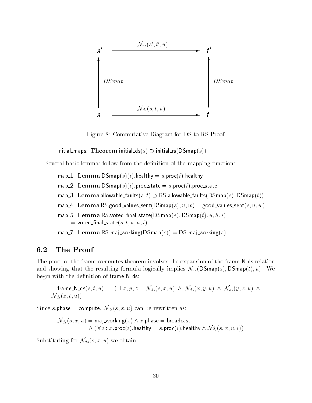![](_page_33_Figure_0.jpeg)

Figure 8: Commutative Diagram for DS to RS Proof

initial maps: Theorem initial  $ds(s) \supset$  initial rs(DSmap(s))

Several basic lemmas follow from the definition of the mapping function:

- map 1: Lemma  $DSmap(s)(i)$ .healthy  $=s.\text{proc}(i)$ .healthy
- map 2: Lemma DSmap $(s)(i)$ . proc\_state  $=s$ . proc $(i)$ . proc\_state
- map 3: Lemma allowable faults $(s,t) \supset \mathsf{RS}$  allowable faults(DS map $(s)$ , DS map $(t)$ )
- map 4: Lemma RS.good values sent  $(DSmap(s), u, w) =$  good values sent  $(s, u, w)$
- map 5: Lemma RS.voted final state (DS map(s),  $\mathsf{DSmap}(t), u, h, i)$  $=$  voted\_final\_state $(s, t, u, h, i)$

map 7: Lemma RS.maj working  $(DSmap(s)) = DS$ .maj working  $(s)$ 

#### The Proof  $6.2$

The proof of the frame\_commutes theorem involves the expansion of the frame\_N\_ds relation and showing that the resulting formula logically implies  $\mathcal{N}_{rs}(\text{DSmap}(s), \text{DSmap}(t), u)$ . We begin with the definition of frame N\_ds:

frame\_N\_ds(s, t, u) = 
$$
(\exists x, y, z : \mathcal{N}_{ds}(s, x, u) \land \mathcal{N}_{ds}(x, y, u) \land \mathcal{N}_{ds}(y, z, u) \land \mathcal{N}_{ds}(z, t, u))
$$

Since s.phase = compute,  $\mathcal{N}_{ds}(s, x, u)$  can be rewritten as:

$$
\mathcal{N}_{ds}(s,x,u) = \mathsf{maj\_working}(x) \land x.\mathsf{phase} = \mathsf{broadcast} \land (\forall i: x.\mathsf{proc}(i).\mathsf{health}y = s.\mathsf{proc}(i).\mathsf{health}y \land \mathcal{N}_{ds}^c(s,x,u,i))
$$

Substituting for  $\mathcal{N}_{ds}(s, x, u)$  we obtain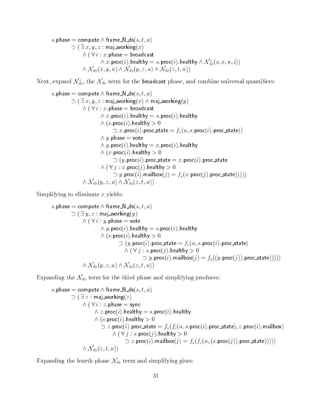s.phase = compute  $\wedge$  frame  $\mathsf{N}\, \mathsf{ds}(s, t, u)$  $\cup$  (  $\exists$   $x, y, z$  : mai working(x)  $\wedge$  (  $\vee$   $\vee$  :  $x$  . phase  $=$  proadcast  $\wedge$ :  $x.$ pnase  $=$  broadcast $\wedge$   $x.\mathsf{proc}(i).$ healthy  $\wedge$   $\mathcal{N}_{ds}^{c}(s, x, u, i))$  $\wedge$   $x$ .proc $\left( i\right)$ .neaithy  $=$   $s$ .proc $\left( i\right)$ .neaithy  $\wedge$   $\mathcal{N}_{ds}(x,y,u)$   $\wedge$   $\mathcal{N}_{ds}(y,z,u)$   $\wedge$   $\mathcal{N}_{ds}(z,t,u))$ 

Next, expand  $\mathcal{N}_{ds}^c$ , the  $\mathcal{N}_{ds}$  term for the broadcast phase, and combine universal quantifiers:

$$
s.\mathsf{phase} = \mathsf{compute} \land \mathsf{frame}\_\mathsf{N\_ds}(s,t,u) \\ \supset (\exists\ x,y,z:\mathsf{maj\_working}(x) \land \mathsf{maj\_working}(y) \\ \land (\forall\ i:\ x.\mathsf{phase} = \mathsf{broa} \mathsf{d} \mathsf{c} \mathsf{a} \mathsf{t} \\ \land\ x.\mathsf{proc}(i).\mathsf{health} y = s.\mathsf{proc}(i).\mathsf{health} y \\ \land (s.\mathsf{proc}(i).\mathsf{health} y > 0 \\ \supset x.\mathsf{proc}(i).\mathsf{proc}\_\mathsf{state} = f_c(u,s.\mathsf{proc}(i).\mathsf{proc}\_\mathsf{state})) \\ \land\ y.\mathsf{phase} = \mathsf{vote} \\ \land\ y.\mathsf{proc}(i).\mathsf{health} y = x.\mathsf{proc}(i).\mathsf{health} y \\ \land (x.\mathsf{proc}(i).\mathsf{health} y > 0 \\ \supset (y.\mathsf{proc}(i).\mathsf{predict} y > 0 \\ \supset y.\mathsf{proc}(j).\mathsf{health} y > 0 \\ \supset y.\mathsf{proc}(i).\mathsf{mailbox}(j) = f_s(x.\mathsf{proc}(j).\mathsf{proc}\_\mathsf{state}))))) \\ \land\ \mathcal{N}_{ds}(y,z,u) \land\ \mathcal{N}_{ds}(z,t,u))
$$

Simplifying to eliminate  $x$  yields:

$$
\begin{array}{ll} s.\mathsf{phase} = \mathsf{compute} \wedge \mathsf{frame\_N\_ds}(s,t,u) \\ \supset (\exists\, y,z:\mathsf{maj\_working}(y) \\ \wedge (\forall\, i: y.\mathsf{phase} = \mathsf{vote} \\ \wedge\, y.\mathsf{proc}(i).\mathsf{health}y = s.\mathsf{proc}(i).\mathsf{health}y \\ \wedge\, (s.\mathsf{proc}(i).\mathsf{health}y > 0 \\ \supset (y.\mathsf{proc}(i).\mathsf{proc\_state} = f_c(u,s.\mathsf{proc}(i).\mathsf{proc\_state}) \\ \wedge\, (\forall\, j: s.\mathsf{proc}(j).\mathsf{health}y > 0 \\ \supset y.\mathsf{proc}(i).\mathsf{mailbox}(j) = f_s((y.\mathsf{proc}(j)).\mathsf{proc\_state}))) ) \\ \wedge\, \mathcal{N}_{ds}(y,z,u) \wedge\, \mathcal{N}_{ds}(z,t,u)) \end{array}
$$

Expanding the  $\mathcal{N}_{ds}$  term for the third phase and simplifying produces:

$$
\begin{array}{ll} s.\mathsf{phase} = \mathsf{compute} \wedge \mathsf{frame\_N\_ds}(s,t,u) \\ \supset (\exists z: \mathsf{maj\_working}(z) \\ \wedge (\forall i: z.\mathsf{phase} = \mathsf{sync} \\ \wedge z.\mathsf{proc}(i).\mathsf{health} y = s.\mathsf{proc}(i).\mathsf{health} y \\ \wedge (s.\mathsf{proc}(i).\mathsf{health} y > 0 \\ \supset z.\mathsf{proc}(i).\mathsf{proc\_state} = f_v(f_c(u,s.\mathsf{proc}(i).\mathsf{proc\_state}), z.\mathsf{proc}(i).\mathsf{mailbox}) \\ \wedge (\forall j: s.\mathsf{proc}(j).\mathsf{health} y > 0 \\ \supset z.\mathsf{proc}(i).\mathsf{mailbox}(j) = f_s(f_c(u,(s.\mathsf{proc}(j)).\mathsf{proc\_state})))) \\ \wedge \mathcal{N}_{ds}(z,t,u)) \end{array}
$$

Expanding the fourth phase  $\mathcal{N}_{ds}$  term and simplifying gives: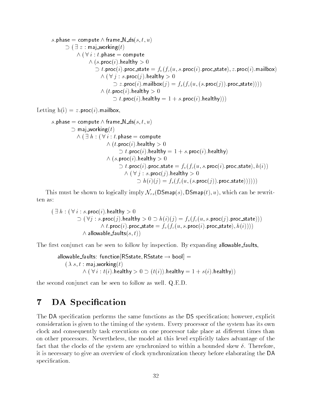```
s.phase = compute \wedge frame \mathbb{N} ds(s, t, u)\rightarrow l \pm z : mai working it is
              \wedge ( \vee \vee : t . phase = compute
                     \wedge (s.proc(i).healthy > 0
                         U \cup \ell:proc(i):proc\_state = \int_{\mathcal{V}} (f_c(u, s.\mathsf{proc}(i)).\mathsf{proc\_state}), z:proc(i):mailbox)
                            \wedge ( \vee \vee \vdots s. proc( \wedge ). healthy > 0
                                   \supset z.\mathsf{proc}(\imath).\mathsf{main}ox(\jmath) = f_s(f_c(u, \{s.\mathsf{proc}(j)\}).\mathsf{proc\_state})))\wedge (t.proc(t).healthy > 0
                                   \cup [.proc(1).healthy =1+s.proc(1).healthy)))
```
Letting  $h(i) = z$ . proc(i). mailbox,

```
s.phase = compute \wedge frame \mathsf{N}\mathsf{-ds}(s, t, u)\supset maj_working(t)
             \wedge ( \sqsupset n : ( \lor i : i . phase = compute
                            \wedge (t.proc(t).healthy > 0 -\cup [.proc(1).healthy =1+s .proc(1).healthy)
                            \wedge (s.proc(i).healthy > 0t \cup t:proc(t):proc_state = f_v(f_c(u,s.\mathsf{proc}(i)).\mathsf{proc\_state}); h(t))
                                     \wedge ( \nabla \eta : s.proc(\eta ).healthy > 0\Box n(i)(j) = f_s(f_c(u, (s.\text{proc}(j))).proc_state))))))
```
This must be shown to logically imply  $\mathcal{N}_{rs}(\mathsf{DSmap}(s), \mathsf{DSmap}(t), u)$ , which can be rewritten as:

$$
(\exists h: (\forall i: s.\texttt{proc}(i).\texttt{healthy} > 0 \newline \bigcirc (\forall j: s.\texttt{proc}(j).\texttt{healthy} > 0 \supset h(i)(j) = f_s(f_c(u, s.\texttt{proc}(j).\texttt{proc\_state}))) \newline \wedge t.\texttt{proc}(i).\texttt{proc\_state} = f_v(f_c(u, s.\texttt{proc}(i).\texttt{proc\_state}), h(i)))) \newline \wedge \texttt{allowable\_faults}(s, t))
$$

The first conjunct can be seen to follow by inspection. By expanding allowable faults,

```
allowable_faults: function[RSstate, RSstate \rightarrow bool] =(\lambda s, t : \text{maj}_\text{working}(t))\wedge ( \vee i : \iota(i).nealthy > 0 \rightarrow (\iota(i)).nealthy =1+ s(\iota).nealthy))
```
the second conjunct can be seen to follow as well. Q.E.D.

#### DA Specification 7

The DA specification performs the same functions as the DS specification; however, explicit consideration is given to the timing of the system. Every processor of the system has its own clock and consequently task executions on one processor take place at different times than on other processors. Nevertheless, the model at this level explicitly takes advantage of the fact that the clocks of the system are synchronized to within a bounded skew  $\delta$ . Therefore, it is necessary to give an overview of clock synchronization theory before elaborating the DA specification.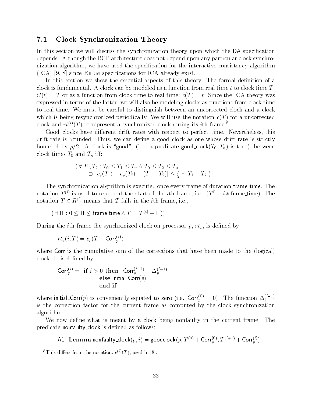#### 7.1 Clock Synchronization Theory

In this section we will discuss the synchronization theory upon which the DA specification depends. Although the RCP architecture does not depend upon any particular clock synchronization algorithm, we have used the specication for the interactive consistency algorithm  $(ICA)$  [9, 8] since EHDM specifications for ICA already exist.

In this section we show the essential aspects of this theory. The formal definition of a clock is fundamental. A clock can be modeled as a function from real time  $t$  to clock time  $T$ :  $C(t) = T$  or as a function from clock time to real time:  $c(T) = t$ . Since the ICA theory was expressed in terms of the latter, we will also be modeling clocks as functions from clock time to real time. We must be careful to distinguish between an uncorrected clock and a clock which is being resynchronized periodically. We will use the notation  $c(T)$  for a uncorrected clock and  $rt^{(i)}(T)$  to represent a synchronized clock during its *i*th frame.<sup>8</sup>

Good clocks have different drift rates with respect to perfect time. Nevertheless, this drift rate is bounded. Thus, we can define a good clock as one whose drift rate is strictly bounded by  $\rho/2$ . A clock is "good", (i.e. a predicate good clock( $T_0, T_n$ ) is true), between clock times  $T_0$  and  $T_n$  iff:

$$
(\forall T_1, T_2 : T_0 \le T_1 \le T_n \land T_0 \le T_2 \le T_n
$$
  
\n
$$
\supset |c_p(T_1) - c_p(T_2) - (T_1 - T_2)| \le \frac{\rho}{2} * |T_1 - T_2|)
$$

The synchronization algorithm is executed once every frame of duration frame time. The notation 1  $\heartsuit$  is used to represent the start of the  $i$ th frame, i.e., (1  $\heartsuit + i *$  frame\_time). The notation  $T \in R^{(i)}$  means that T falls in the *i*<sup>th</sup> frame, i.e.,

 $( \exists \Pi : 0 \leq \Pi \leq \text{frame_time} \land T = T^{(i)} + \Pi))$ 

During the *i*th frame the synchronized clock on processor  $p, rt_p$ , is defined by:

$$
rt_p(i,T) = c_p(T + \text{Corr}_p^{(i)})
$$

where Corr is the cumulative sum of the corrections that have been made to the (logical) clock. It is defined by:

$$
\begin{array}{rl}\textsf{Corr}_p^{(i)} = & \textbf{if } i > 0 \textbf{ then } \textsf{Corr}_p^{(i-1)} + \Delta_p^{(i-1)}\\ & \textbf{else } \textsf{initial\_Corr}(p)\\ & \textbf{end } \textbf{if}\end{array}
$$

where initial\_Corr(p) is conveniently equated to zero (i.e. Corr $_p^{\sim\prime} = 0$ ). The function  $\Delta_p^{\gamma\sim\prime}$ is the correction factor for the current frame as computed by the clock synchronization algorithm.

We now define what is meant by a clock being nonfaulty in the current frame. The predicate nonfaulty\_clock is defined as follows:

A.I: Lemma nonfaulty\_clock( $p, i) = \mathsf{goodclock}(p, I^{\text{(0)}} + \textsf{Corr}_{p}^{\text{(0)}}, I^{\text{(0)}} + \textsf{Corr}_{p}^{\text{(0)}})$ 

This differs from the notation,  $c^{(2)}(T)$ , used in [8].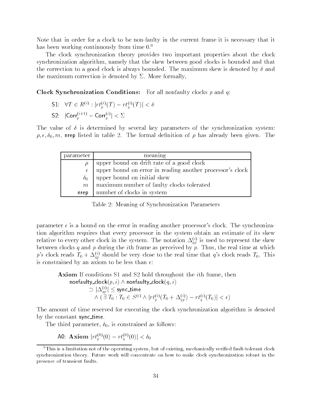Note that in order for a clock to be non-faulty in the current frame it is necessary that it has been working continuously from time  $0<sup>9</sup>$ 

The clock synchronization theory provides two important properties about the clock synchronization algorithm, namely that the skew between good clocks is bounded and that the correction to a good clock is always bounded. The maximum skew is denoted by  $\delta$  and the maximum correction is denoted by  $\Sigma$ . More formally,

Clock Synchronization Conditions: For all nonfaulty clocks  $p$  and  $q$ :

- S1:  $\forall I \in R^{\vee} : |T l_p^{\vee}(I)| = r l_q^{\vee}(I) | \leq \delta$
- S2:  $|\text{Corr}_{p}^{(+)'}| < \Sigma$

The value of  $\delta$  is determined by several key parameters of the synchronization system:  $\rho, \epsilon, \delta_0, m$ , nrep listed in table 2. The formal definition of  $\rho$  has already been given. The

| parameter  | meaning                                                   |
|------------|-----------------------------------------------------------|
|            | upper bound on drift rate of a good clock                 |
| $\epsilon$ | upper bound on error in reading another processor's clock |
| $\delta_0$ | upper bound on initial skew                               |
| m          | maximum number of faulty clocks tolerated                 |
| nrep       | number of clocks in system                                |

Table 2: Meaning of Synchronization Parameters

parameter  $\epsilon$  is a bound on the error in reading another processor's clock. The synchronization algorithm requires that every processor in the system obtain an estimate of its skew relative to every other clock in the system. The hotation  $\Delta_{qg}^{ss}$  is used to represent the skew between clocks q and p during the *i*th frame as perceived by  $\overline{p}$ . Thus, the real time at which p's clock reads  $T_0 + \Delta_{ap}^{(i)}$  should be very close to the real time that q's clock reads  $T_0$ . This is constrained by an axiom to be less than  $\epsilon$ :

**Axiom** If conditions S1 and S2 hold throughout the *i*th frame, then  
\n**nonfaulty clock**
$$
(p, i) \land \text{nonfaulty clock}(q, i)
$$
  
\n
$$
\supset |\Delta_{qp}^{(i)}| \leq \text{sync_time}
$$
\n
$$
\land (\exists T_0 : T_0 \in S^{(i)} \land |rt_p^{(i)}(T_0 + \Delta_{qp}^{(i)}) - rt_q^{(i)}(T_0)| < \epsilon)
$$

The amount of time reserved for executing the clock synchronization algorithm is denoted by the constant sync\_time.

The third parameter,  $\delta_0$ , is constrained as follows:

AU: AXIOM  $|TL_p^{\infty}(0) - TL_q^{\infty}(0)| \leq 0_0$ 

<sup>&</sup>lt;sup>9</sup>This is a limitation not of the operating system, but of existing, mechanically verified fault-tolerant clock synchronization theory. Future work will concentrate on how to make clock synchronization robust in the presence of transient faults.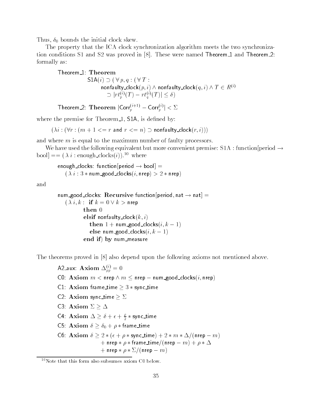Thus,  $\delta_0$  bounds the initial clock skew.

The property that the ICA clock synchronization algorithm meets the two synchronization conditions S1 and S2 was proved in [8]. These were named Theorem 1 and Theorem 2: formally as:

$$
\begin{array}{ll}\text{Theorem\_1: Theorem} \\ \text{S1A}(i) \supset (\forall p, q : (\forall T : \\ \text{nonfaulty\_clock}(p, i) \land \text{nonfaulty\_clock}(q, i) \land T \in R^{(i)} \\ \supset |rt_p^{(i)}(T) - rt_q^{(i)}(T)| \le \delta)\end{array}
$$

Theorem 2: Theorem  $|\text{Corr}_{p}^{(1)}| \leq 2$ 

where the premise for Theorem  $1$ ,  $$1A$ , is defined by:

 $(i \times i : (\forall r : (m + 1 \leq r \text{ and } r \leq n) \supset \text{nonfaulty\_clock}(r, i)))$ 

and where  $m$  is equal to the maximum number of faulty processors.

We have used the following equivalent but more convenient premise:  $S1A$ : function [period  $\rightarrow$ bool] ==  $(\lambda i : \text{enough-clocks}(i))$ .<sup>10</sup> where

enough clocks: function period  $\rightarrow$  bool] =  $(\lambda i : 3 * num\_good\_clocks(i, nrep) > 2 * nrep)$ 

and

```
num good clocks: Recursive function period, nat \rightarrow nat =
   (\lambda i, k : if k = 0 \vee k > nrep
          then 0
          elsif nonfaulty_clock(k, i)then 1 + num good clocks(i, k - 1)else num good clocks(i, k - 1)end if) by num_measure
```
The theorems proved in [8] also depend upon the following axioms not mentioned above.

A2\_aux: A xiom  $\Delta_{pp}^{yy} = 0$ C0: Axiom  $m <$  nrep  $\wedge m \le$  nrep  $-$  num good clocks $(i, n$ rep)  $\mathsf{C1}\cdot\mathbf{A}\times\mathbf{iom}$  frame\_time  $\geq 3 *$  sync\_time C2: Axiom sync\_time  $\geq \Sigma$ C3: Axiom  $\Sigma \geq \Delta$ C4: Axiom  $\Delta \geq 0 + \epsilon + \frac{1}{2} *$  sync\_time C5: Axiom  $\delta \ge \delta_0 + \rho *$  frame\_time C6: Axiom  $\delta \geq 2 * ( \epsilon + \rho * \text{sync_time}) + 2 * m * \Delta / (n \text{rep} - m)$  $+$  nrep  $*\rho *$  frame\_time/(nrep  $- m$ ) +  $\rho * \Delta$  $+$  nrep  $*\rho * \Sigma/(\text{nrep} - m)$ 

 $10$ Note that this form also subsumes axiom C0 below.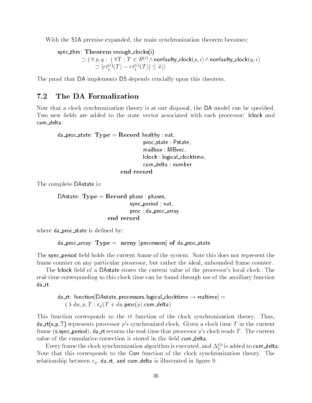With the S1A premise expanded, the main synchronization theorem becomes:

```
sync_thm: Theorem enough_clocks(i)
                   \Rightarrow ( \forall p, q : (\forall I : I \in R^{\leftrightarrow} \land nonfaulty_clock(p, i) \land nonfaulty_clock(q, i)<br>
\Rightarrow |rt_p^{(i)}(T) - rt_q^{(i)}(T)| \leq \delta)
```
The proof that DA implements DS depends crucially upon this theorem.

### 7.2 The DA Formalization

Now that a clock synchronization theory is at our disposal, the DA model can be specified. Two new fields are added to the state vector associated with each processor: lclock and cum\_delta:

```
da_proc_state: Type = Record healthy : nat,
                                 proc state : Pstate; mailbox : MBvec;
                                 lclock : logical clocktime;
                                 cum_delta : number
                        end record
```
The complete DAstate is:

```
\mathsf{D}\mathsf{A}state: \mathbf{Type}=\mathbf{Recard} phase : phases;
                                     sync_period : nat,
                                     proc : da_proc_array
                          end record
```
where **da\_proc\_state** is defined by:

da proc array:  $Type = array$  [processors] of da proc state

The sync\_period field holds the current frame of the system. Note this does not represent the frame counter on any particular processor, but rather the ideal, unbounded frame counter.

The lclock field of a DAstate stores the current value of the processor's local clock. The real-time corresponding to this clock time can be found through use of the auxiliary function da rt.

da\_rt: function[DAstate, processors, logical\_clocktime  $\rightarrow$  realtime] =  $(\lambda da, p, T : c_p(T + da.\text{proc}(p).\text{cum\_delta})$ 

This function corresponds to the rt function of the clock synchronization theory. Thus,  $d$ a\_rt(s,p,T) represents processor p's synchronized clock. Given a clock time T in the current frame (s.sync\_period), da\_rt returns the real-time that processor p's clock reads T. The current value of the cumulative correction is stored in the field cum delta.

Every frame the clock synchromization algorithm is executed, and  $\Delta_p^\vee$  is added to **cum\_delta.** Note that this corresponds to the Corr function of the clock synchronization theory. The relationship between  $c_p$ , da\_rt, and cum\_delta is illustrated in figure 9.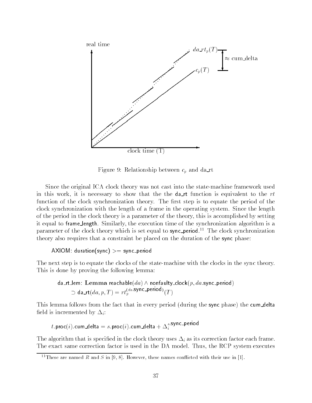![](_page_40_Figure_0.jpeg)

Figure 9: Relationship between  $c_p$  and da\_rt

Since the original ICA clock theory was not cast into the state-machine framework used in this work, it is necessary to show that the the  $d$ -t function is equivalent to the rt function of the clock synchronization theory. The first step is to equate the period of the clock synchronization with the length of a frame in the operating system. Since the length of the period in the clock theory is a parameter of the theory, this is accomplished by setting it equal to frame length. Similarly, the execution time of the synchronization algorithm is a parameter of the clock theory which is set equal to sync\_period.<sup>11</sup> The clock synchronization theory also requires that a constraint be placed on the duration of the sync phase:

### AXIOM: duration(sync) >= sync\_period

The next step is to equate the clocks of the state-machine with the clocks in the sync theory. This is done by proving the following lemma:

da\_rtlem: Lemma reachable(
$$
da
$$
)  $\wedge$  nonfaulty clock( $p$ ,  $da$ .sync\_period)  
 $\supset$  da\_rtl( $da$ ,  $p$ ,  $T$ ) = rt<sub>p</sub><sup>(da</sup>.sync\_period) $(T)$ 

This lemma follows from the fact that in every period (during the sync phase) the cum delta field is incremented by  $\Delta_i$ :

 $t.\mathsf{proc}(\imath).\mathsf{cum\_delta} = s.\mathsf{proc}(\imath).\mathsf{cum\_delta} + \Delta_i^{***}$ 

The algorithm that is specified in the clock theory uses  $\Delta_i$  as its correction factor each frame. The exact same correction factor is used in the DA model. Thus, the RCP system executes

<sup>&</sup>lt;sup>11</sup>These are named R and S in [9, 8]. However, these names conflicted with their use in [1].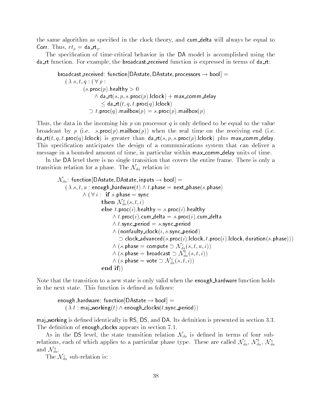the same algorithm as specified in the clock theory, and cum delta will always be equal to Corr. Thus,  $rt_p = da_rrt_r$ .

The specication of time-critical behavior in the DA model is accomplished using the da\_rt function. For example, the broadcast\_received function is expressed in terms of da\_rt:

broadcast\_received: <code>function[DAstate</code>, <code>DAstate</code>, processors  $\rightarrow$  <code>bool]  $=$ </code>  $(\lambda s,t,q:(\forall p:$  $(s.\textsf{proc}(p).\textsf{healthy} > 0)$  $\wedge$  da\_rt( $s, p, s$ .proc( $p$ ).iclock)  $+$  max\_comm\_delay  $\sim$  da\_rt(t, q, t.proc(q).iclock)  $\cup$  [.proc(q):mailbox(p) = s.proc(p):mailbox(p)

Thus, the data in the incoming bin  $p$  on processor  $q$  is only defined to be equal to the value broadcast by p (i.e. s.proc(p).mailbox(p)) when the real time on the receiving end (i.e.  $\textsf{da\_rt}(t, q, t.\textsf{proc}(q).$ lclock) is greater than  $\textsf{da\_rt}(s, p, s.\textsf{proc}(p).$ lclock) plus max\_comm\_delay. This specication anticipates the design of a communications system that can deliver a message in a bounded amount of time, in particular within max comm delay units of time.

In the DA level there is no single transition that covers the entire frame. There is only a transition relation for a phase. The  $\mathcal{N}_{da}$  relation is:

 $\mathcal{N}_{da}$ : function[DAstate, DAstate, inputs  $\rightarrow$  bool]  $=$  $(\lambda s, t, u:$  enough\_hardware $(t) \wedge t$ .phase  $=$  next\_phase $(s)$ .phase)  $\wedge$  (  $\vee$   $\vee$  : if s.phase  $=$  sync then  $\mathcal{N}_{da}^{s}(s,t,i)$ else  $t.\text{proc}(i).$ healthy =  $s.\text{proc}(i).$ healthy  $\wedge$  t.proc(t).cum delta  $=s.\mathsf{proc}(t).c$ um delta  $\wedge$  t.sync\_period  $=s$  sync period  $\wedge$  (nonfaulty clock( $\imath, s.$ sync period)  $\vdash$  $\supset$  clock advanced(s.proc(i).iclock, i.proc(i).iclock, duration(s.phase)))  $\supset$  $\cup$  clock\_advanced(s.proc( $i$ ).lclock,  $i$ .proc $(\lambda(s)$ .phase  $=$  compute  $\cup$   $\mathcal{N}_{da}^{c}(s,t,u,i))$  $\wedge$  (s.pnase = compute  $\supset \mathcal{N}_{da}^{i}(s,t,u,\imath)$ )<br> $\wedge$   $(s.\mathsf{phase} = \mathsf{broadcast} \supset \mathcal{N}_{da}^{b}(s,t,i))$  $\wedge$  ( $s.$ phase = broadcast  $\supset {\mathcal{N}_{da}^i(s,t,s)} \ \wedge \ (s.\mathsf{phase} = \mathsf{vote} \supset {\mathcal{N}_{da}^v(s,t,i)})$ end if))

Note that the transition to a new state is only valid when the **enough-hardware** function holds in the next state. This function is defined as follows:

enough\_hardware: <code>function[DAstate</code>  $\rightarrow$  <code>bool]  $=$ </code>  $(\lambda t : \mathsf{maj\_working}(t) \land \mathsf{enough\_clocks}(t.\mathsf{sync\_period}))$ 

maj working is defined identically in RS, DS, and DA. Its definition is presented in section 3.3. The definition of enough clocks appears in section 7.1.

As in the DS level, the state transition relation  $\mathcal{N}_{da}$  is defined in terms of four subrelations, each of which applies to a particular phase type. These are called  $\mathcal{N}_{da}$ ,  $\mathcal{N}_{da}$ ,  $\mathcal{N}_{da}$ and  $\mathcal{N}_{da}^s$ .

The  $\mathcal{N}_{da}^c$  sub-relation is: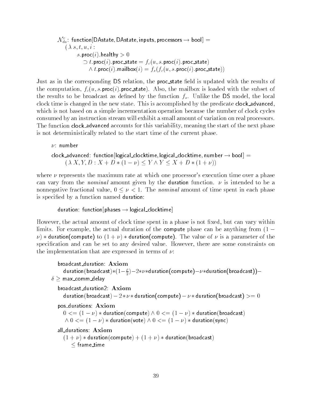$N_{\bar{d}a}\colon$  function[DAstate; DAstate; inputs; processors  $\to$  bool]  $\,=\,$  $(\lambda s, t, u, i)$ s.proc(i).healthy  $> 0$  $U$  t.proc(t).proc\_state  $= J_c(u, s.\textsf{proc}(t).\textsf{proc\_state})$  $\wedge$  t:proc(t):mailbox(t)  $=$   $f_s(f_c(u, s.\text{proc}(t).\text{proc\_state}))$ 

Just as in the corresponding DS relation, the **proc**state field is updated with the results of the computation,  $f_c(u, s.\text{proc}(i).\text{proc\_state})$ . Also, the mailbox is loaded with the subset of the results to be broadcast as defined by the function  $f_s$ . Unlike the DS model, the local clock time is changed in the new state. This is accomplished by the predicate clock advanced, which is not based on a simple incrementation operation because the number of clock cycles consumed by an instruction stream will exhibit a small amount of variation on real processors. The function clock advanced accounts for this variability, meaning the start of the next phase is not deterministically related to the start time of the current phase.

 $\nu$ : number clock advanced: function[logical\_clocktime, logical\_clocktime, number  $\rightarrow$  bool] =  $(\lambda X,Y,D: X + D * (1 - \nu) \leq Y \wedge Y \leq X + D * (1 + \nu))$ 

where  $\nu$  represents the maximum rate at which one processor's execution time over a phase can vary from the *nominal* amount given by the **duration** function.  $\nu$  is intended to be a nonnegative fractional value,  $0 \leq \nu < 1$ . The nominal amount of time spent in each phase is specied by a function named duration:

duration: function [phases  $\rightarrow$  logical\_clocktime]

However, the actual amount of clock time spent in a phase is not fixed, but can vary within limits. For example, the actual duration of the compute phase can be anything from  $(1 \nu$ )  $\star$  duration(compute) to  $(1 + \nu) \cdot \star$  duration(compute). The value of  $\nu$  is a parameter of the specification and can be set to any desired value. However, there are some constraints on the implementation that are expressed in terms of  $\nu$ :

broadcast duration: Axiom duration(broadcast)\*(1 $-\frac{c}{2}$ ) $-$ 2\* $\nu$ \*duration(compute) $-\nu$ \*duration(broadcast)) $\delta \geq$  max\_comm\_delay broadcast duration2: Axiom duration(broadcast)  $-2*\nu *$  duration(compute)  $-\nu *$  duration(broadcast)  $>= 0$ pos durations: Axiom  $0 \leq (1 - \nu) *$  duration(compute)  $\land$   $0 \leq (1 - \nu) *$  duration(broadcast)  $\wedge$   $0$   $\le$   $=$  (1  $\nu$ )  $\ast$  duration(vote)  $\wedge$   $0$   $\le$   $=$  (1  $\nu$ )  $\ast$  duration(sync) all durations: Axiom  $(1 + \nu) *$  duration(compute)  $+ (1 + \nu) *$  duration(broadcast)  $\sim$  frame time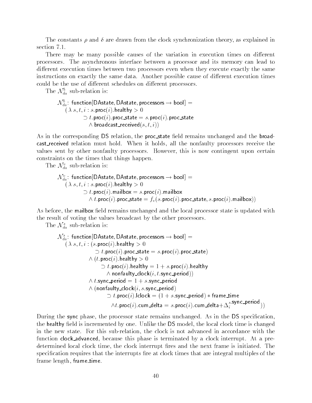The constants  $\rho$  and  $\delta$  are drawn from the clock synchronization theory, as explained in section 7.1.

There may be many possible causes of the variation in execution times on different processors. The asynchronous interface between a processor and its memory can lead to different execution times between two processors even when they execute exactly the same instructions on exactly the same data. Another possible cause of different execution times could be the use of different schedules on different processors.

The  $\mathcal{N}_{da}$  sub-relation is:

```
\mathcal{N}_{da}: function[DAstate, DAstate, processors \rightarrow bool] =(\lambda s, t, i : s.\text{proc}(i).healthy > 0\cup i.proc(i).proc_state =s .proc(i).proc_state
               \wedge broadcast received(s, t , i ))
```
As in the corresponding DS relation, the proc\_state field remains unchanged and the broadcast received relation must hold. When it holds, all the nonfaulty processors receive the values sent by other nonfaulty processors. However, this is now contingent upon certain constraints on the times that things happen.

The  $\mathcal{N}_{da}^{v}$  sub-relation is:

```
N_{\v{da}}: function[DAstate, DAstate, processors \rightarrow bool] =(\lambda s, t, i : s.\text{proc}(i). \text{healthy} > 0)\cup \iota.proc(\iota).mailbox =s.proc(\iota).mailbox
                  \wedge t.proc(\imath).proc_state = f_v(s.\mathsf{proc}(\imath). \mathsf{proc\_state}, s.\mathsf{proc}(\imath). \mathsf{mainbox}))
```
As before, the mailbox field remains unchanged and the local processor state is updated with the result of voting the values broadcast by the other processors.

The  $\mathcal{N}_{da}^s$  sub-relation is:

```
N_{\v{da}}: function[DAstate, DAstate, processors \rightarrow bool] =(\lambda s, t, i : (s.\textsf{proc}(i)).\textsf{healthy} > 0)\cup i.proc(i).proc_state = s.proc(i).proc_state)
                 \wedge (t.proc(t).healthy >0t: proc(i):healthy t = 1 + s: proc(i):healthy
                           \wedge nonfaulty_clock(\imath,\iota.sync_period)) \qquad\wedge t.sync_period = 1 + s.sync_period
                 \wedge (nonfaulty clock(\imath, s.sync period) \wedget . proc( i ) . iclock t = 1 + s . sync _period ) * trame_time t\wedge t.\mathsf{proc}(\imath).\mathsf{cum\_delta} = s.\mathsf{proc}(\imath).\mathsf{cum\_delta} + \Delta_i \quad \overline{\phantom{s}} \qquad \phantom{m}) )
```
During the sync phase, the processor state remains unchanged. As in the DS specication, the healthy field is incremented by one. Unlike the DS model, the local clock time is changed in the new state. For this sub-relation, the clock is not advanced in accordance with the function clock advanced, because this phase is terminated by a clock interrupt. At a predetermined local clock time, the clock interrupt fires and the next frame is initiated. The specification requires that the interrupts fire at clock times that are integral multiples of the frame length, frame time.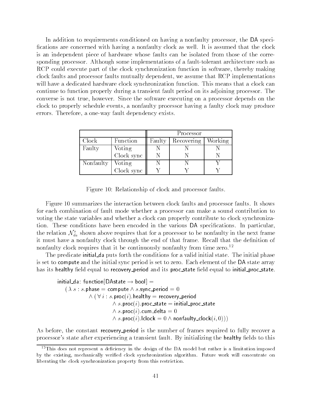In addition to requirements conditioned on having a nonfaulty processor, the DA speci fications are concerned with having a nonfaulty clock as well. It is assumed that the clock is an independent piece of hardware whose faults can be isolated from those of the corresponding processor. Although some implementations of a fault-tolerant architecture such as RCP could execute part of the clock synchronization function in software, thereby making clock faults and processor faults mutually dependent, we assume that RCP implementations will have a dedicated hardware clock synchronization function. This means that a clock can continue to function properly during a transient fault period on its adjoining processor. The converse is not true, however. Since the software executing on a processor depends on the clock to properly schedule events, a nonfaulty processor having a faulty clock may produce errors. Therefore, a one-way fault dependency exists.

|           |            | Processor |            |         |
|-----------|------------|-----------|------------|---------|
| Clock     | Function   | Faulty    | Recovering | Working |
| Faulty    | Voting     |           |            |         |
|           | Clock sync |           |            |         |
| Nonfaulty | Voting     |           |            |         |
|           | Clock sync |           |            |         |

Figure 10: Relationship of clock and processor faults.

Figure 10 summarizes the interaction between clock faults and processor faults. It shows for each combination of fault mode whether a processor can make a sound contribution to voting the state variables and whether a clock can properly contribute to clock synchronization. These conditions have been encoded in the various DA specications. In particular, the relation  $\mathcal{N}_{da}^s$  shown above requires that for a processor to be nonfaulty in the next frame it must have a nonfaulty clock through the end of that frame. Recall that the definition of nonfaulty clock requires that it be continuously nonfaulty from time zero.<sup>12</sup>

The predicate initial da puts forth the conditions for a valid initial state. The initial phase is set to compute and the initial sync period is set to zero. Each element of the DA state array has its healthy field equal to recovery period and its proc\_state field equal to initial proc\_state.

```
initial da: function [DAstate \rightarrow bool] =
    (\lambda s : s.\mathsf{phase} = \mathsf{compute} \land s.\mathsf{sync}\_\mathsf{period} = 0\wedge ( \vee \vee : s.proc(\vee).healthy = recovery period
                              \wedge s.proc(i).proc_state = initial proc state
                              \wedge s.proc(\imath).cum delta = 0 -\wedge s.proc(i).lclock = 0 \wedge nonfaulty_clock(i, 0))) =
```
As before, the constant recovery period is the number of frames required to fully recover a processor's state after experiencing a transient fault. By initializing the healthy fields to this

 $12$ This does not represent a deficiency in the design of the DA model but rather is a limitation imposed by the existing, mechanically verified clock synchronization algorithm. Future work will concentrate on liberating the clock synchronization property from this restriction.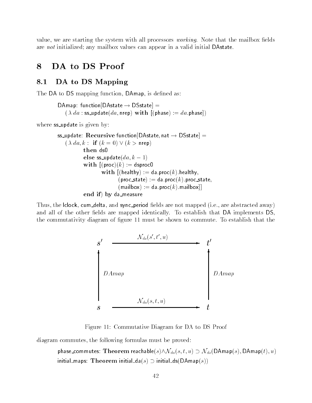value, we are starting the system with all processors *working*. Note that the mailbox fields are not initialized; any mailbox values can appear in a valid initial DAstate.

#### DA to DS Proof 8

# 8.1 DA to DS Mapping

The DA to DS mapping function, DAmap, is defined as:

```
\mathsf{DAmap}\colon\mathsf{function}[\mathsf{DAstate}\to\mathsf{DState}] =(\lambda da : \texttt{ss\_update}(da, \texttt{nrep}) \textbf{ with } [(\texttt{phase}) := da.\texttt{phase}])
```
where **ss\_update** is given by:

```
ss_update: Recursive function [DAstate, nat \rightarrow DSstate] =
    (\lambda da, k : if (k = 0) \vee (k > nrep)
            then ds0
            else ss_update(da, k - 1)with [(\text{proc})(k) := \text{dsproc}with [(\text{healthy}) := \text{da.proc}(k) \cdot \text{healthy},
                              (proc_state) := da.proc(k).proc_state;
                              (\text{mailbox}) := \text{da.proc}(k). mailbox]]
            end if) by da_measure
```
Thus, the lclock, cum\_delta, and sync\_period fields are not mapped (i.e., are abstracted away) and all of the other fields are mapped identically. To establish that DA implements DS, the commutativity diagram of figure 11 must be shown to commute. To establish that the

![](_page_45_Figure_8.jpeg)

Figure 11: Commutative Diagram for DA to DS Proof

diagram commutes, the following formulas must be proved:

phase\_commutes: Theorem reachable $(s) \wedge \mathcal{N}_{da}(s, t, u) \supset \mathcal{N}_{ds}(\mathsf{DAmap}(s), \mathsf{DAmap}(t), u)$ initial maps: Theorem initial  $da(s) \supset$  initial  $ds(DAmap(s))$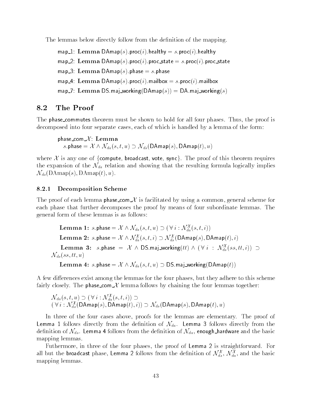The lemmas below directly follow from the definition of the mapping.

map 1: Lemma  $\mathsf{DAmap}(s)$ . proc $(i)$ . healthy  $=s.\mathsf{proc}(i)$ . healthy map 2: Lemma DAmap(s).proc(i).proc\_state = s.proc(i).proc\_state map 3: Lemma DAmap(s). phase  $=s$ . phase map 4: Lemma DAmap(s).proc(i).mailbox = s.proc(i).mailbox map 7: Lemma DS.maj\_working(DAmap(s)) = DA.maj\_working(s)

# 8.2 The Proof

The phase commutes theorem must be shown to hold for all four phases. Thus, the proof is decomposed into four separate cases, each of which is handled by a lemma of the form:

phase\_com $X$ : Lemma s.phase  $=\mathcal{X} \wedge \mathcal{N}_{da}(s, t, u) \supset \mathcal{N}_{ds}(\mathsf{DAmap}(s), \mathsf{DAmap}(t), u)$ 

where  $X$  is any one of {compute, broadcast, vote, sync}. The proof of this theorem requires the expansion of the  $\mathcal{N}_{da}$  relation and showing that the resulting formula logically implies  $\mathcal{N}_{ds}$ (DAmap(s), DAmap(t), u).

### 8.2.1 Decomposition Scheme

The proof of each lemma phase\_com  $X$  is facilitated by using a common, general scheme for each phase that further decomposes the proof by means of four subordinate lemmas. The general form of these lemmas is as follows:

Lemma 1:  $s.\mathsf{phase} = \mathcal{X} \wedge \mathcal{N}_{da}(s,t,u) \supset (\forall\, i: \mathcal{N}_{da}^\mathcal{X}(s,t,i))$ **Lemma 2:** s.phase  $=\mathcal{X} \wedge \mathcal{N}_{da}^{\mathcal{X}}(s,t,i) \supset \mathcal{N}_{ds}^{\mathcal{X}}(D\mathsf{Amap}(s),D\mathsf{Amap}(t),i)$ **Lemma 3:** s.phase =  $X \wedge DS$ .maj\_working(tt)  $\wedge (\forall i : \mathcal{N}_{ds}^X(ss, tt, i)) \supset$  $\mathcal{N}_{ds}(ss,tt,u)$ 

Lemma 4: s.phase =  $X \wedge N_{da}(s, t, u) \supset \text{DS.maj}_working(DAmap(t))$ 

A few differences exist among the lemmas for the four phases, but they adhere to this scheme fairly closely. The phase com  $X$  lemma follows by chaining the four lemmas together:

 ${\cal N}_{da}(s,t,u) \supseteq ( \triangledown i : {\cal N}_{da}(s,t,i)) \supseteq$  $\begin{array}{l} \mathcal{N}_{da}(s,t,u) \supset (\triangledown i : \mathcal{N}_{da}^{\perp}(s,t,i)) \supset \ \mathcal{N}_{ds}^{\perp}(\mathsf{DAmap}(s),\mathsf{DAmap}(t),i)) \supset \mathcal{N}_{ds}(\mathsf{DAmap}(s),\mathsf{DAmap}(t),u) \end{array}$ 

In three of the four cases above, proofs for the lemmas are elementary. The proof of Lemma 1 follows directly from the definition of  $\mathcal{N}_{da}$ . Lemma 3 follows directly from the definition of  $\mathcal{N}_{ds}$ . Lemma 4 follows from the definition of  $\mathcal{N}_{da}$ , enough hardware and the basic mapping lemmas.

Futhermore, in three of the four phases, the proof of Lemma 2 is straightforward. For all but the **broadcast** phase, Lemma 2 follows from the definition of  $\mathcal{N}_{ds}^*$ ,  $\mathcal{N}_{da}^*$ , and the basic mapping lemmas.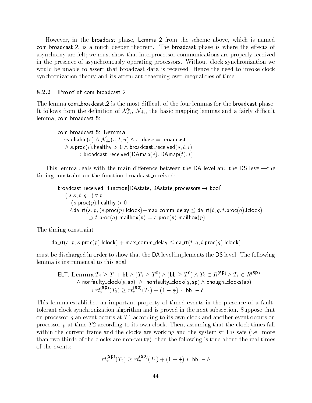However, in the broadcast phase, Lemma 2 from the scheme above, which is named com broadcast 2, is a much deeper theorem. The broadcast phase is where the effects of asynchrony are felt; we must show that interprocessor communications are properly received in the presence of asynchronously operating processors. Without clock synchronization we would be unable to assert that broadcast data is received. Hence the need to invoke clock synchronization theory and its attendant reasoning over inequalities of time.

### 8.2.2 Proof of com\_broadcast\_2

The lemma com broadcast  $2$  is the most difficult of the four lemmas for the broadcast phase. It follows from the definition of  $\mathcal{N}_{ds}$ ,  $\mathcal{N}_{da}$ , the basic mapping lemmas and a fairly difficult lemma, com\_broadcast\_5:

```
com broadcast 5: Lemma
  reachable(s) \wedge \mathcal{N}_{da}(s,t,u) \wedge s.phase = broadcast
   \wedge s.proc( \imath ) . healthy > U \wedge broadcast received(s, \imath , \imath )
          \supset proadcast_received(DAmap(s), DAmap(t), t)
```
This lemma deals with the main difference between the DA level and the DS level—the timing constraint on the function broadcast received:

broadcast\_received: function [DAstate, DAstate, processors  $\rightarrow$  bool] =  $(\lambda s,t,q:(\forall p:$  $(s.\textsf{proc}(p).\textsf{healthy} > 0)$  $\wedge$ da\_rt $(s, p, (s.\textsf{proc}(p).lclock)+\textsf{max\_comm\_delay} \leq \textsf{da\_rt}(t, q, t.\textsf{proc}(q).lclock)$  $\cup$  [.proc(q):mailbox(p) = s.proc(p):mailbox(p)

The timing constraint

 $\textsf{da}_\textsf{int}(s, p, s.\textsf{proc}(p).\textsf{lclock}) + \textsf{max}_\textsf{comm}\_\textsf{delay} \leq \textsf{da}_\textsf{int}(t, q, t.\textsf{proc}(q).\textsf{lclock})$ 

must be discharged in order to show that the DA level implements the DS level. The following lemma is instrumental to this goal.

ELT: Lemma 
$$
T_2 \geq T_1 + \mathsf{bb} \wedge (T_1 \geq T^0) \wedge (\mathsf{bb} \geq T^0) \wedge T_2 \in R^{(\mathsf{SP})} \wedge T_1 \in R^{(\mathsf{SP})}
$$

\nAnd  $\wedge$  nonfaulty clock( $p, \mathsf{sp}) \wedge \mathsf{nonfaulty\_clock}(q, \mathsf{sp}) \wedge \mathsf{enough\_clock}(\mathsf{sp})$ 

\nand  $T_1(\mathsf{sp}) \wedge T_2 \geq r t_1(\mathsf{sp}) \wedge T_1 + (1 - \frac{\rho}{2}) * |\mathsf{bb}| - \delta$ 

This lemma establishes an important property of timed events in the presence of a faulttolerant clock synchronization algorithm and is proved in the next subsection. Suppose that on processor q an event occurs at  $T_1$  according to its own clock and another event occurs on processor  $p$  at time  $T2$  according to its own clock. Then, assuming that the clock times fall within the current frame and the clocks are working and the system still is safe (i.e. more than two thirds of the clocks are non-faulty), then the following is true about the real times of the events:

$$
rt_{p}^{(\text{SP})}(T_2)\geq rt_q^{(\text{SP})}(T_1)+(1-\tfrac{\rho}{2})*|\text{bb}{}|-\delta
$$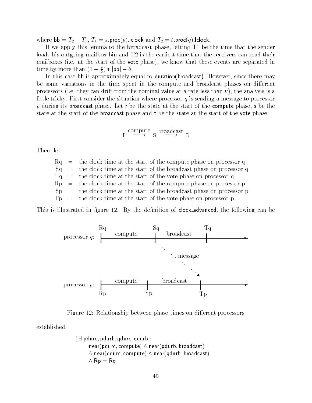where  $\mathsf{bb} = T_2 - T_1, T_1 = s.\mathsf{proc}(p).$ lclock and  $T_2 = t.\mathsf{proc}(q).$ lclock.

If we apply this lemma to the broadcast phase, letting T1 be the time that the sender loads his outgoing mailbox bin and T2 is the earliest time that the receivers can read their mailboxes (i.e. at the start of the vote phase), we know that these events are separated in mailboxes (i.e. at the start of the **vote** p<br>time by more than  $(1 - \frac{\rho}{2}) * |bb| - \delta$ .

In this case bb is approximately equal to duration(broadcast). However, since there may be some variations in the time spent in the compute and broadcast phases on different processors (i.e. they can drift from the nominal value at a rate less than  $\nu$ ), the analysis is a little tricky. First consider the situation where processor q is sending a message to processor p during its broadcast phase. Let r be the state at the start of the compute phase, s be the state at the start of the broadcast phase and t be the state at the start of the vote phase:

$$
r \stackrel{compute}{\longrightarrow} s
$$
   
  $s \stackrel{broadcast}{\longrightarrow} t$ 

Then, let

 $Rq =$  the clock time at the start of the compute phase on processor q  $=$  $Sq =$  the clock time at the start of the broadcast phase on processor q  $=$  $Tq =$  the clock time at the start of the vote phase on processor q  $Rp =$  the clock time at the start of the compute phase on processor p  $Sp =$  the clock time at the start of the broadcast phase on processor p  $Tp =$  the clock time at the start of the vote phase on processor p  $=$ 

This is illustrated in figure 12. By the definition of clock advanced, the following can be

![](_page_48_Figure_7.jpeg)

Figure 12: Relationship between phase times on different processors

established:

```
( \exists pdurc, pdurb, qdurc, qdurb :
      near(pdurc, compute) \wedge near(pdurb, broadcast)
      ^ near(qdurc; compute) ^ near(qdurb; broadcast)
      \wedge Rp = Rq
```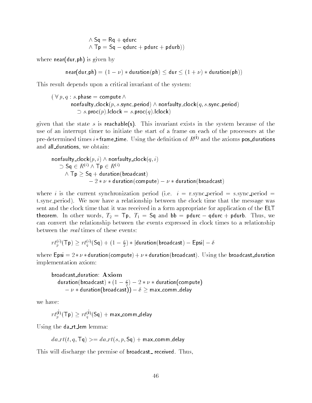$\wedge$  Sq  $=$  Rq  $+$  qaurc  $\land$  Tp  $\equiv$  Sq  $-$  gaurc  $+$  paurc  $+$  paurb))

where near(dur, ph) is given by

 $near(dw,rph) = (1 - \nu) * duration(ph) \leq dur \leq (1 + \nu) * duration(ph)$ 

This result depends upon a critical invariant of the system:

$$
(\forall p, q : s.\mathtt{phase} = \mathtt{compute} \land \mathtt{nonfaulty\_clock}(p, s.\mathtt{sync\_period}) \land \mathtt{nonfaulty\_clock}(q, s.\mathtt{sync\_period}) \newline \supset s.\mathtt{proc}(p).lclock = s.\mathtt{proc}(q).lclock)
$$

given that the state s is reachable(s). This invariant exists in the system because of the use of an interrupt timer to initiate the start of a frame on each of the processors at the pre-determined times *i* \* frame time. Using the definition of  $R^{(1)}$  and the axioms pos durations and all\_durations, we obtain:

$$
\begin{array}{ll}\n\text{nonfaulty\_clock}(p, i) \land \text{nonfaulty\_clock}(q, i) \\
\supset \text{Sq} \in R^{(i)} \land \text{Tp} \in R^{(i)} \\
\land \text{Tp} \geq \text{Sq} + \text{duration}(\text{broadcast}) \\
&\quad -2 * \nu * \text{duration}(\text{compute}) - \nu * \text{duration}(\text{broadcast})\n\end{array}
$$

where i is the current synchronization period (i.e.  $i = r$  sync\_period = s.sync\_period = t.sync period). We now have a relationship between the clock time that the message was sent and the clock time that it was received in a form appropriate for application of the ELT theorem. In other words,  $T_2 = T \rho$ ,  $T_1 = Sq$  and  $bb = pdurc - qdurc + pdurb$ . Thus, we can convert the relationship between the events expressed in clock times to a relationship between the real times of these events:

$$
rt_{p}^{(i)}(\mathsf{Tp}) \geq rt_{q}^{(i)}(\mathsf{Sq}) + (1 - \tfrac{\rho}{2})*| \mathsf{duration}(\mathsf{broadcast}) - \mathsf{Epsi}| - \delta
$$

where Epsi  $= 2 * \nu *$  duration(compute) +  $\nu *$  duration(broadcast). Using the broadcast duration implementation axiom:

broadcast duration: Axiom duration(broadcast)  $*$  (1  $\frac{2}{2}$ )  $-$  2  $*$   $\nu$   $*$  duration(compute)  $\theta-\nu*$  duration( broadcast ))  $\theta-\nu*$  max comm delay

we have:

 $r\iota_{p}^{\scriptscriptstyle \vee}$ (+p)  $\geq r\iota_{q}^{\scriptscriptstyle \vee}$ (5q) + max\_comm\_delay

Using the da\_rt\_lem lemma:

$$
da\_rt(t,q,\mathsf{Tq}) >= da\_rt(s,p,\mathsf{Sq}) + \mathsf{max\_comm\_delay}
$$

This will discharge the premise of broadcast received. Thus,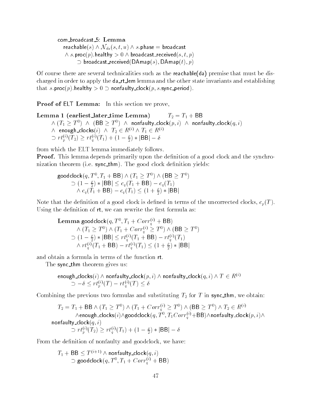com broadcast 5: Lemma

reachable $(s) \wedge \mathcal{N}_{da}(s, t, u) \wedge s$ .phase = broadcast  $\wedge$  s.proc( p): healthy  $>$  0  $\wedge$  broadcast received(s, t, p)  $=$  $\supset$  proadcast\_received(DAmap(s), DAmap(t), p)

Of course there are several technicalities such as the reachable  $(da)$  premise that must be discharged in order to apply the da\_rt\_lem lemma and the other state invariants and establishing that s.proc(p).healthy  $> 0 \supset$  nonfaulty\_clock(p, s.sync\_period).

Proof of ELT Lemma: In this section we prove,

Lemma 1 (earliest later time Lemma)  $T_2 = T_1 + BB$  $\wedge$  (T1  $\geq$  T  $^*$  )  $\wedge$  (BB  $\geq$  T  $^*$  )  $\wedge$  nonfaulty\_clock(p, i)  $\wedge$  nonfaulty\_clock(q, i)  $^ \wedge$  enough clocks(i)  $\wedge$   $T_2 \in R^{(1)} \wedge T_1 \in R^{(2)}$  $\wedge$  enough\_clocks(*i*)  $\wedge$   $I_2 \in R^{\vee} \wedge I_1 \in R^{\vee}$ <br>  $\supset rt_p^{(i)}(T_2) \ge rt_q^{(i)}(T_1) + (1 - \frac{\rho}{2}) * |BB| - \delta$ 

from which the ELT lemma immediately follows.

**Proof.** This lemma depends primarily upon the definition of a good clock and the synchronization theorem (i.e. sync\_thm). The good clock definition yields:

goodclock( $q, I^-, I_1^+$  bb )  $\wedge$  ( $I_1 \geq I^+$  )  $\wedge$  (bb  $\geq I^+$ )  $^$  $c_1 \circ cR(q, T^*, T_1 + BB) \wedge (T_1 \geq T^*) \wedge (BB \geq T^*)$ <br>  $\supset (1 - \frac{\rho}{2}) * |BB| \leq c_q(T_1 + BB) - c_q(T_1)$ <br>  $\wedge c_q(T_1 + BB) - c_q(T_1) \leq (1 + \frac{\rho}{2}) * |BB|$ 

Note that the definition of a good clock is defined in terms of the uncorrected clocks,  $c_p(T)$ . Using the definition of  $rt$ , we can rewrite the first formula as:

**Lemma goodclock**(q, 1 °, 1  $_1$  + C or r  $\gamma$  +  $q$  +  $=$   $\rightarrow$   $\rightarrow$  $\wedge$   $(1_1 \leq I^{\circ})$   $\wedge$   $(1_1 + \cup 0rr_0^{\circ}) \leq I^{\circ})$   $\wedge$   $(DD \leq I^{\circ})$  $(1 - \frac{\rho}{2}) * |BB| \leq r t_q^{(i)}(T_1 + BB) - r t_q^{(i)}(T_1)$  $(r - \frac{1}{2})^* |BD| \ge r \frac{r_0}{r_1 + 1} + BD - r \frac{r_0}{r_1 + 1}$ <br>  $\wedge rt_q^{(i)}(T_1 + BB) - rt_q^{(i)}(T_1) \le (1 + \frac{\rho}{2})^* |BB|$ 

and obtain a formula in terms of the function rt.

The sync thm theorem gives us:

enough\_clocks $(i) \wedge$  nonfaulty\_clock $(p,i) \wedge$  nonfaulty\_clock $(q,i) \wedge T \in R^{(i)}$  $\text{gn\_clock}(i) \land \text{nonrauity\_clock}(p, i) \land \ \Rightarrow -\delta \leq r t_p^{(i)}(T) - r t_q^{(i)}(T) \leq \delta$ 

Combining the previous two formulas and substituting  $T_2$  for  $T$  in sync\_thm, we obtain:

 $T_2 = T_1 +$  BB  $\wedge$   $(T_1 \geq T^{\circ}) \wedge (T_1 + Corr_0^{\circ}) \geq T^{\circ}) \wedge (BB \geq T^{\circ}) \wedge T_2 \in R^{\vee}$  $\wedge$ enough\_clocks $(i)/\text{\texttt{goodclock}}(q, T^*, T_1 \cup \textit{orr}^{\vee}_d + \texttt{BD})\wedge$ nonfaulty\_clock $(p, i)/\wedge$ nonfaulty\_clock $(q, i)$  $\sup_{t\geq 0} \text{csc}(\mathbf{q},\mathbf{z}) \geq r t^{(i)}_q(T_1) + (1-\frac{\rho}{2})*|\mathsf{BB}| - \delta$ 

From the definition of nonfaulty and goodclock, we have:

$$
T_1 + \mathsf{BB} \le T^{(i+1)} \land \mathsf{non faulty\_clock}(q, i)
$$
  

$$
\supset \mathsf{goodclock}(q, T^0, T_1 + Corr_g^{(i)} + \mathsf{BB})
$$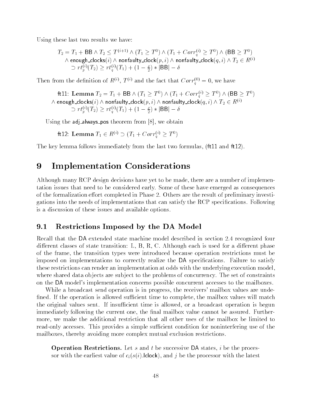Using these last two results we have:

$$
T_2 = T_1 + \text{BB} \land T_2 \leq T^{(i+1)} \land (T_1 \geq T^0) \land (T_1 + Corr_q^{(i)} \geq T^0) \land (\text{BB} \geq T^0)
$$
  
\land enough-clocks(i)  $\land$  nonfaulty-clock(*p*, *i*)  $\land$  nonfaulty-clock(*q*, *i*)  $\land$   $T_2 \in R^{(i)}$   
\n $\supset rt_p^{(i)}(T_2) \geq rt_q^{(i)}(T_1) + (1 - \frac{\rho}{2}) * |\text{BB}| - \delta$ 

Then from the definition of  $\mathbb{R}^{(0)}$ ,  $T^{(0)}$  and the fact that  $Corr_0^{(0)} \equiv 0$ , we have

ft11: Lemma  $T_2 = T_1 +$  bb  $\wedge$   $(T_1 \geq T^*) \wedge (T_1 + \text{Corr}_q^*)^{\prime} \geq T^*) \wedge ( \text{bb} \geq T^*)$  $\wedge$  enough\_clocks( $\imath$ )  $\wedge$  nonfaulty\_clock( $p, \imath$ )  $\wedge$  nonfaulty\_clock( $q, \imath$ )  $\wedge$  T2  $\in$  R  $^{\vee\vee}$  $\mathcal{D}(\mathcal{T}_p) \geq r t^{(i)}_q(T_1) + (1 - \frac{\rho}{2})*|\mathsf{BB}| - \delta$ 

Using the adj\_always\_pos theorem from  $[8]$ , we obtain

ft 12: Lemma  $T_1 \in R^{\vee} \supseteq (T_1 + \cup \text{orr}_q^{\vee} \supseteq T^{\vee})$ 

The key lemma follows immediately from the last two formulas, (ft11 and ft12).

#### **Implementation Considerations** 9

Although many RCP design decisions have yet to be made, there are a number of implementation issues that need to be considered early. Some of these have emerged as consequences of the formalization effort completed in Phase 2. Others are the result of preliminary investigations into the needs of implementations that can satisfy the RCP specications. Following is a discussion of these issues and available options.

### 9.1 Restrictions Imposed by the DA Model

Recall that the DA extended state machine model described in section 2.4 recognized four different classes of state transition: L, B, R, C. Although each is used for a different phase of the frame, the transition types were introduced because operation restrictions must be imposed on implementations to correctly realize the DA specications. Failure to satisfy these restrictions can render an implementation at odds with the underlying execution model, where shared data objects are subject to the problems of concurrency. The set of constraints on the DA model's implementation concerns possible concurrent accesses to the mailboxes.

While a broadcast send operation is in progress, the receivers' mailbox values are unde fined. If the operation is allowed sufficient time to complete, the mailbox values will match the original values sent. If insufficient time is allowed, or a broadcast operation is begun immediately following the current one, the final mailbox value cannot be assured. Furthermore, we make the additional restriction that all other uses of the mailbox be limited to read-only accesses. This provides a simple sufficient condition for noninterfering use of the mailboxes, thereby avoiding more complex mutual exclusion restrictions.

**Operation Restrictions.** Let s and t be successive DA states, i be the processor with the earliest value of  $c_i(s(i))$ . clock), and j be the processor with the latest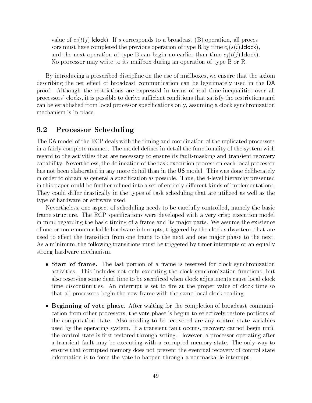value of  $c_i(t)$ : lclock). If s corresponds to a broadcast (B) operation, all processors must have completed the previous operation of type R by time  $c_i(s(i))$ . **clock**), and the next operation of type B can begin no earlier than time  $c_i(t(i))$ . lelock). No processor may write to its mailbox during an operation of type B or R.

By introducing a prescribed discipline on the use of mailboxes, we ensure that the axiom describing the net effect of broadcast communication can be legitimately used in the DA proof. Although the restrictions are expressed in terms of real time inequalities over all processors' clocks, it is possible to derive sucient conditions that satisfy the restrictions and can be established from local processor specifications only, assuming a clock synchronization mechanism is in place.

#### $9.2$ Processor Scheduling

The DA model of the RCP deals with the timing and coordination of the replicated processors in a fairly complete manner. The model defines in detail the functionality of the system with regard to the activities that are necessary to ensure its fault-masking and transient recovery capability. Nevertheless, the delineation of the task execution process on each local processor has not been elaborated in any more detail than in the US model. This was done deliberately in order to obtain as general a specication as possible. Thus, the 4-level hierarchy presented in this paper could be further refined into a set of entirely different kinds of implementations. They could differ drastically in the types of task scheduling that are utilized as well as the type of hardware or software used.

Nevertheless, one aspect of scheduling needs to be carefully controlled, namely the basic frame structure. The RCP specifications were developed with a very crisp execution model in mind regarding the basic timing of a frame and its ma jor parts. We assume the existence of one or more nonmaskable hardware interrupts, triggered by the clock subsystem, that are used to effect the transition from one frame to the next and one major phase to the next. As a minimum, the following transitions must be triggered by timer interrupts or an equally strong hardware mechanism.

- $\bullet$  start of frame. The last portion of a frame is reserved for clock synchromization activities. This includes not only executing the clock synchronization functions, but also reserving some dead time to be sacrificed when clock adjustments cause local clock time discontinuities. An interrupt is set to fire at the proper value of clock time so that all processors begin the new frame with the same local clock reading.
- $\bullet$  beginning of vote phase. After waiting for the completion of broadcast communication from other processors, the vote phase is begun to selectively restore portions of the computation state. Also needing to be recovered are any control state variables used by the operating system. If a transient fault occurs, recovery cannot begin until the control state is first restored through voting. However, a processor operating after a transient fault may be executing with a corrupted memory state. The only way to ensure that corrupted memory does not prevent the eventual recovery of control state information is to force the vote to happen through a nonmaskable interrupt.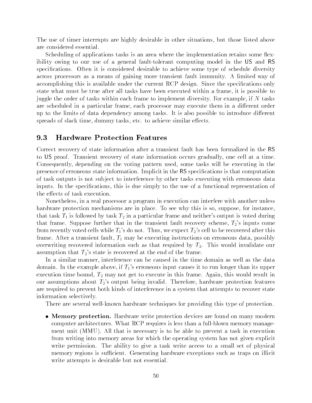The use of timer interrupts are highly desirable in other situations, but those listed above are considered essential.

Scheduling of applications tasks is an area where the implementation retains some flexibility owing to our use of a general fault-tolerant computing model in the US and RS specifications. Often it is considered desirable to achieve some type of schedule diversity across processors as a means of gaining more transient fault immunity. A limited way of accomplishing this is available under the current RCP design. Since the specifications only state what must be true after all tasks have been executed within a frame, it is possible to juggle the order of tasks within each frame to implement diversity. For example, if  $N$  tasks are scheduled in a particular frame, each processor may execute them in a different order up to the limits of data dependency among tasks. It is also possible to introduce different spreads of slack time, dummy tasks, etc. to achieve similar effects.

#### 9.3 9.3 Hardware Protection Features

Correct recovery of state information after a transient fault has been formalized in the RS to US proof. Transient recovery of state information occurs gradually, one cell at a time. Consequently, depending on the voting pattern used, some tasks will be executing in the presence of erroneous state information. Implicit in the RS specications is that computation of task outputs is not sub ject to interference by other tasks executing with erroneous data inputs. In the specifications, this is due simply to the use of a functional representation of the effects of task execution.

Nonetheless, in a real processor a program in execution can interfere with another unless hardware protection mechanisms are in place. To see why this is so, suppose, for instance, that task  $T_1$  is followed by task  $T_2$  in a particular frame and neither's output is voted during that frame. Suppose further that in the transient fault recovery scheme,  $T_2$ 's inputs come from recently voted cells while  $T_1$ 's do not. Thus, we expect  $T_2$ 's cell to be recovered after this frame. After a transient fault,  $T_1$  may be executing instructions on erroneous data, possibly overwriting recovered information such as that required by  $T_2$ . This would invalidate our assumption that  $T_2$ 's state is recovered at the end of the frame.

In a similar manner, interference can be caused in the time domain as well as the data domain. In the example above, if  $T_1$ 's erroneous input causes it to run longer than its upper execution time bound,  $T_2$  may not get to execute in this frame. Again, this would result in our assumptions about  $T_2$ 's output being invalid. Therefore, hardware protection features are required to prevent both kinds of interference in a system that attempts to recover state information selectively.

There are several well-known hardware techniques for providing this type of protection.

 $\bullet$  -Memory protection. Hardware write protection devices are found on many modern  $\bullet$ computer architectures. What RCP requires is less than a full-blown memory management unit (MMU). All that is necessary is to be able to prevent a task in execution from writing into memory areas for which the operating system has not given explicit write permission. The ability to give a task write access to a small set of physical memory regions is sufficient. Generating hardware exceptions such as traps on illicit write attempts is desirable but not essential.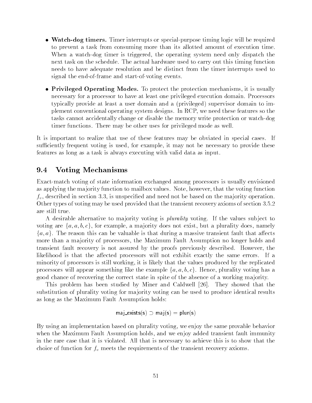- $\bullet$  watch-dog timers. There interrupts or special-purpose timing logic will be required to prevent a task from consuming more than its allotted amount of execution time. When a watch-dog timer is triggered, the operating system need only dispatch the next task on the schedule. The actual hardware used to carry out this timing function needs to have adequate resolution and be distinct from the timer interrupts used to signal the end-of-frame and start-of-voting events.
- $\bullet$  Privileged Operating Modes. To protect the protection mechanisms, it is usually necessary for a processor to have at least one privileged execution domain. Processors typically provide at least a user domain and a (privileged) supervisor domain to implement conventional operating system designs. In RCP, we need these features so the tasks cannot accidentally change or disable the memory write protection or watch-dog timer functions. There may be other uses for privileged mode as well.

It is important to realize that use of these features may be obviated in special cases. If sufficiently frequent voting is used, for example, it may not be necessary to provide these features as long as a task is always executing with valid data as input.

### 9.4 Voting Mechanisms

Exact-match voting of state information exchanged among processors is usually envisioned as applying the majority function to mailbox values. Note, however, that the voting function  $f_v$ , described in section 3.3, is unspecified and need not be based on the majority operation. Other types of voting may be used provided that the transient recovery axioms of section 3.5.2 are still true.

A desirable alternative to majority voting is *plurality* voting. If the values subject to voting are  $\{a, a, b, c\}$ , for example, a majority does not exist, but a plurality does, namely  ${a,a}$ . The reason this can be valuable is that during a massive transient fault that affects more than a majority of processors, the Maximum Fault Assumption no longer holds and transient fault recovery is not assured by the proofs previously described. However, the likelihood is that the affected processors will not exhibit exactly the same errors. If a minority of processors is still working, it is likely that the values produced by the replicated processors will appear something like the example  $\{a, a, b, c\}$ . Hence, plurality voting has a good chance of recovering the correct state in spite of the absence of a working ma jority.

This problem has been studied by Miner and Caldwell [26]. They showed that the substitution of plurality voting for majority voting can be used to produce identical results as long as the Maximum Fault Assumption holds:

$$
\mathsf{maj\_exists}(s) \supset \mathsf{maj}(s) = \mathsf{plur}(s)
$$

By using an implementation based on plurality voting, we enjoy the same provable behavior when the Maximum Fault Assumption holds, and we enjoy added transient fault immunity in the rare case that it is violated. All that is necessary to achieve this is to show that the choice of function for  $f_v$  meets the requirements of the transient recovery axioms.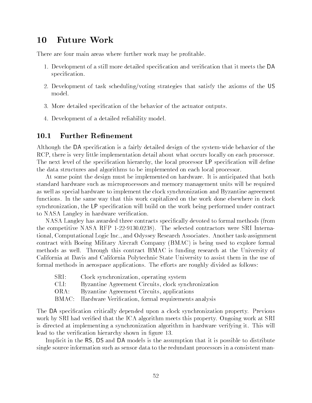#### **Future Work** 10

There are four main areas where further work may be profitable.

- 1. Development of a still more detailed specication and verication that it meets the DA specification.
- 2. Development of task scheduling/voting strategies that satisfy the axioms of the US model.
- 3. More detailed specication of the behavior of the actuator outputs.
- 4. Development of a detailed reliability model.

#### 10.1 Further Refinement

Although the DA specication is a fairly detailed design of the system-wide behavior of the RCP, there is very little implementation detail about what occurs locally on each processor. The next level of the specification hierarchy, the local processor LP specification will define the data structures and algorithms to be implemented on each local processor.

At some point the design must be implemented on hardware. It is anticipated that both standard hardware such as microprocessors and memory management units will be required as well as special hardware to implement the clock synchronization and Byzantine agreement functions. In the same way that this work capitalized on the work done elsewhere in clock synchronization, the LP specication will build on the work being performed under contract to NASA Langley in hardware verication.

NASA Langley has awarded three contracts specifically devoted to formal methods (from the competitive NASA RFP 1-22-9130.0238). The selected contractors were SRI International, Computational Logic Inc., and Odyssey Research Associates. Another task-assignment contract with Boeing Military Aircraft Company (BMAC) is being used to explore formal methods as well. Through this contract BMAC is funding research at the University of California at Davis and California Polytechnic State University to assist them in the use of formal methods in aerospace applications. The efforts are roughly divided as follows:

- SRI: Clock synchronization, operating system
- CLI: Byzantine Agreement Circuits, clock synchronization
- ORA: Byzantine Agreement Circuits, applications
- BMAC: Hardware Verification, formal requirements analysis

The DA specification critically depended upon a clock synchronization property. Previous work by SRI had verified that the ICA algorithm meets this property. Ongoing work at SRI is directed at implementing a synchronization algorithm in hardware verifying it. This will lead to the verification hierarchy shown in figure 13.

Implicit in the RS, DS and DA models is the assumption that it is possible to distribute single source information such as sensor data to the redundant processors in a consistent man-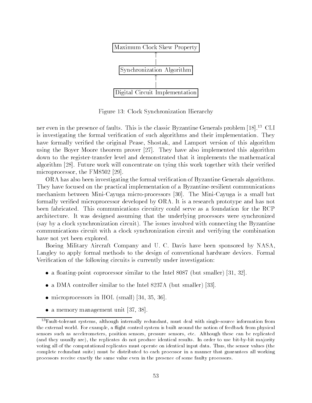![](_page_56_Figure_0.jpeg)

Figure 13: Clock Synchronization Hierarchy

ner even in the presence of faults. This is the classic Byzantine Generals problem [18]<sup>13</sup> CLI is investigating the formal verication of such algorithms and their implementation. They have formally verified the original Pease, Shostak, and Lamport version of this algorithm using the Boyer Moore theorem prover [27]. They have also implemented this algorithm down to the register-transfer level and demonstrated that it implements the mathematical algorithm [28]. Future work will concentrate on tying this work together with their veried microprocessor, the FM8502 [29].

ORA has also been investigating the formal verication of Byzantine Generals algorithms. They have focused on the practical implementation of a Byzantine-resilient communications mechanism between Mini-Cayuga micro-processors [30]. The Mini-Cayuga is a small but formally veried microprocessor developed by ORA. It is a research prototype and has not been fabricated. This communications circuitry could serve as a foundation for the RCP architecture. It was designed assuming that the underlying processors were synchronized (say by a clock synchronization circuit). The issues involved with connecting the Byzantine communications circuit with a clock synchronization circuit and verifying the combination have not yet been explored.

Boeing Military Aircraft Company and U. C. Davis have been sponsored by NASA, Langley to apply formal methods to the design of conventional hardware devices. Formal Verification of the following circuits is currently under investigation:

- $\bullet$  a noating-point coprocessor similar to the Intel 8087 (but smaller) [31, 32].
- a DMA controller similar to the Intel 8237A (but smaller) [33].
- microprocessors in HOL (small) [34, 35, 36].
- a memory management unit [37, 38].

<sup>13</sup>Fault-tolerant systems, although internally redundant, must deal with single-source information from the external world. For example, a flight control system is built around the notion of feedback from physical sensors such as accelerometers, position sensors, pressure sensors, etc. Although these can be replicated (and they usually are), the replicates do not produce identical results. In order to use bit-by-bit majority voting all of the computational replicates must operate on identical input data. Thus, the sensor values (the complete redundant suite) must be distributed to each processor in a manner that guarantees all working processors receive exactly the same value even in the presence of some faulty processors.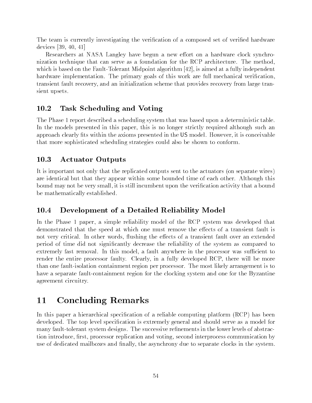The team is currently investigating the verification of a composed set of verified hardware devices [39, 40, 41]

Researchers at NASA Langley have begun a new effort on a hardware clock synchronization technique that can serve as a foundation for the RCP architecture. The method, which is based on the Fault-Tolerant Midpoint algorithm [42], is aimed at a fully independent hardware implementation. The primary goals of this work are full mechanical verification. transient fault recovery, and an initialization scheme that provides recovery from large transient upsets.

#### $\bf 10.2$ Task Scheduling and Voting

The Phase 1 report described a scheduling system that was based upon a deterministic table. In the models presented in this paper, this is no longer strictly required although such an approach clearly fits within the axioms presented in the US model. However, it is conceivable that more sophisticated scheduling strategies could also be shown to conform.

# 10.3 Actuator Outputs

It is important not only that the replicated outputs sent to the actuators (on separate wires) are identical but that they appear within some bounded time of each other. Although this bound may not be very small, it is still incumbent upon the verication activity that a bound be mathematically established.

#### 10.4 10.4 Development of a Detailed Reliability Model

In the Phase 1 paper, a simple reliability model of the RCP system was developed that demonstrated that the speed at which one must remove the effects of a transient fault is not very critical. In other words, flushing the effects of a transient fault over an extended period of time did not signicantly decrease the reliability of the system as compared to extremely fast removal. In this model, a fault anywhere in the processor was sufficient to render the entire processor faulty. Clearly, in a fully developed RCP, there will be more than one fault-isolation containment region per processor. The most likely arrangement is to have a separate fault-containment region for the clocking system and one for the Byzantine agreement circuitry.

#### **Concluding Remarks** 11

In this paper a hierarchical specification of a reliable computing platform  $(RCP)$  has been developed. The top level specication is extremely general and should serve as a model for many fault-tolerant system designs. The successive refinements in the lower levels of abstraction introduce, first, processor replication and voting, second interprocess communication by use of dedicated mailboxes and finally, the asynchrony due to separate clocks in the system.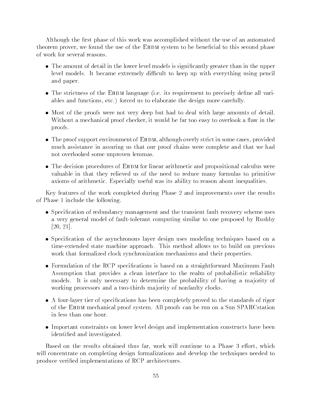Although the first phase of this work was accomplished without the use of an automated theorem prover, we found the use of the EHDM system to be beneficial to this second phase of work for several reasons.

- $\bullet$  -fine amount of detail in the lower level models is significantly greater than in the upper  $\hspace{0.1mm}$ level models. It became extremely difficult to keep up with everything using pencil and paper.
- $\bullet$  The strictness of the EHDM language (i.e. its requirement to precisely define all variables and functions, etc.) forced us to elaborate the design more carefully.
- $\bullet$  -Most of the proofs were not very deep but had to deal with large amounts of detail. Without a mechanical proof checker, it would be far too easy to overlook a flaw in the proofs.
- $\bullet$  -fine proof support environment of EHDM, although overly strict in some cases, provided much assistance in assuring us that our proof chains were complete and that we had not overlooked some unproven lemmas.
- $\bullet$  The decision procedures of EHDM for linear arithmetic and propositional calculus were valuable in that they relieved us of the need to reduce many formulas to primitive axioms of arithmetic. Especially useful was its ability to reason about inequalities.

Key features of the work completed during Phase 2 and improvements over the results of Phase 1 include the following.

- $\bullet$  Specification of redundancy management and the transient fault recovery scheme uses a very general model of fault-tolerant computing similar to one proposed by Rushby [20, 21].
- $\bullet$  Specincation of the asynchronous layer design uses modeling techniques based on a time-extended state machine approach. This method allows us to build on previous work that formalized clock synchronization mechanisms and their properties.
- $\bullet$  formulation of the KCP specifications is based on a straightforward Maximum Fault Assumption that provides a clean interface to the realm of probabilistic reliability models. It is only necessary to determine the probability of having a majority of working processors and a two-thirds ma jority of nonfaulty clocks.
- $\bullet$  A four-layer tier of specifications has been completely proved to the standards of rigor  $\bullet$ of the Ehdm mechanical proof system. All proofs can be run on a Sun SPARCstation in less than one hour.
- $\bullet$  -important constraints on lower level design and implementation constructs have been  $$ identied and investigated.

Based on the results obtained thus far, work will continue to a Phase 3 effort, which will concentrate on completing design formalizations and develop the techniques needed to produce veried implementations of RCP architectures.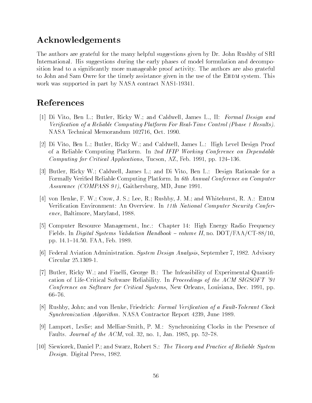# Acknowledgements

The authors are grateful for the many helpful suggestions given by Dr. John Rushby of SRI International. His suggestions during the early phases of model formulation and decomposition lead to a signicantly more manageable proof activity. The authors are also grateful to John and Sam Owre for the timely assistance given in the use of the EHDM system. This work was supported in part by NASA contract NAS1-19341.

# References

- [1] Di Vito, Ben L.; Butler, Ricky W.; and Caldwell, James L., II: Formal Design and Verication of a Reliable Computing Platform For Real-Time Control (Phase 1 Results). NASA Technical Memorandum 102716, Oct. 1990.
- [2] Di Vito, Ben L.; Butler, Ricky W.; and Caldwell, James L.: High Level Design Proof of a Reliable Computing Platform. In 2nd IFIP Working Conference on Dependable Computing for Critical Applications, Tucson, AZ, Feb. 1991, pp. 124-136.
- [3] Butler, Ricky W.; Caldwell, James L.; and Di Vito, Ben L.: Design Rationale for a Formally Veried Reliable Computing Platform. In 6th Annual Conference on Computer Assurance (COMPASS 91), Gaithersburg, MD, June 1991.
- [4] von Henke, F. W.; Crow, J. S.; Lee, R.; Rushby, J. M.; and Whitehurst, R. A.: EHDM Verification Environment: An Overview. In 11th National Computer Security Conference, Baltimore, Maryland, 1988.
- [5] Computer Resource Management, Inc.: Chapter 14: High Energy Radio Frequency Fields. In *Digital Systems Validation Handbook – volume II*, no.  $\text{DOT}/\text{FAA}/\text{CT-88}/10$ , pp. 14.1{14.50. FAA, Feb. 1989.
- [6] Federal Aviation Administration. System Design Analysis, September 7, 1982. Advisory Circular 25.1309-1.
- [7] Butler, Ricky W.; and Finelli, George B.: The Infeasibility of Experimental Quantification of Life-Critical Software Reliability. In Proceedings of the ACM SIGSOFT '91 Conference on Software for Critical Systems, New Orleans, Louisiana, Dec. 1991, pp.  $66 - 76.$
- [8] Rushby, John; and von Henke, Friedrich: *Formal Verification of a Fault-Tolerant Clock* Synchronization Algorithm. NASA Contractor Report 4239, June 1989.
- [9] Lamport, Leslie; and Melliar-Smith, P. M.: Synchronizing Clocks in the Presence of Faults. *Journal of the ACM*, vol. 32, no. 1, Jan. 1985, pp. 52–78.
- [10] Siewiorek, Daniel P.; and Swarz, Robert S.: The Theory and Practice of Reliable System Design. Digital Press, 1982.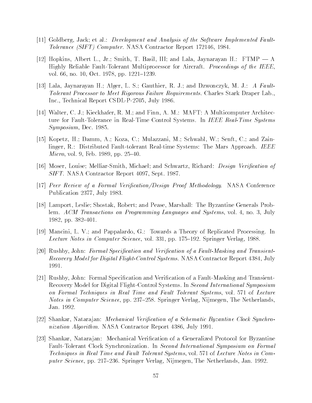- [11] Goldberg, Jack; et al.: Development and Analysis of the Software Implemented Fault-Tolerance (SIFT) Computer. NASA Contractor Report 172146, 1984.
- [12] Hopkins, Albert L., Jr.; Smith, T. Basil, III; and Lala, Jaynarayan H.:  $FTMP A$ Highly Reliable Fault-Tolerant Multiprocessor for Aircraft. Proceedings of the IEEE, vol. 66, no. 10, Oct. 1978, pp. 1221–1239.
- [13] Lala, Jaynarayan H.; Alger, L. S.; Gauthier, R. J.; and Dzwonczyk, M. J.: A Fault-Tolerant Processor to Meet Rigorous Failure Requirements. Charles Stark Draper Lab., Inc., Technical Report CSDL-P-2705, July 1986.
- [14] Walter, C. J.; Kieckhafer, R. M.; and Finn, A. M.: MAFT: A Multicomputer Architecture for Fault-Tolerance in Real-Time Control Systems. In IEEE Real-Time Systems Symposium, Dec. 1985.
- [15] Kopetz, H.; Damm, A.; Koza, C.; Mulazzani, M.; Schwabl, W.; Senft, C.; and Zainlinger, R.: Distributed Fault-tolerant Real-time Systems: The Mars Approach. IEEE Micro, vol. 9, Feb. 1989, pp. 25-40.
- [16] Moser, Louise; Melliar-Smith, Michael; and Schwartz, Richard: *Design Verification of* SIFT. NASA Contractor Report 4097, Sept. 1987.
- [17] Peer Review of a Formal Verification/Design Proof Methodology. NASA Conference Publication 2377, July 1983.
- [18] Lamport, Leslie; Shostak, Robert; and Pease, Marshall: The Byzantine Generals Problem. ACM Transactions on Programming Languages and Systems, vol. 4, no. 3, July 1982, pp.  $382{-}401$ .
- [19] Mancini, L. V.; and Pappalardo, G.: Towards a Theory of Replicated Processing. In Lecture Notes in Computer Science, vol. 331, pp. 175–192. Springer Verlag, 1988.
- [20] Rushby, John: Formal Specification and Verification of a Fault-Masking and Transient-Recovery Model for Digital Flight-Control Systems. NASA Contractor Report 4384, July 1991.
- [21] Rushby, John: Formal Specication and Verication of a Fault-Masking and Transient-Recovery Model for Digital Flight-Control Systems. In Second International Symposium on Formal Techniques in Real Time and Fault Tolerant Systems, vol. 571 of Lecture Notes in Computer Science, pp. 237-258. Springer Verlag, Nijmegen, The Netherlands. Jan. 1992.
- [22] Shankar, Natarajan: *Mechanical Verification of a Schematic Byzantine Clock Synchro*nization Algorithm. NASA Contractor Report 4386, July 1991.
- [23] Shankar, Natarajan: Mechanical Verification of a Generalized Protocol for Byzantine Fault-Tolerant Clock Synchronization. In Second International Symposium on Formal Techniques in Real Time and Fault Tolerant Systems, vol. 571 of Lecture Notes in Computer Science, pp. 217-236. Springer Verlag, Nijmegen, The Netherlands, Jan. 1992.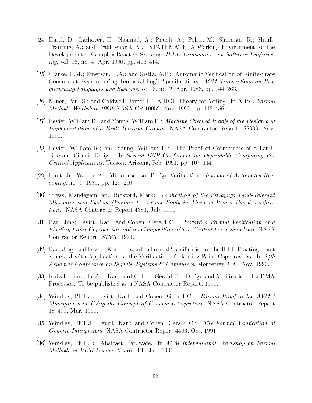- [24] Harel, D.; Lachover, H.; Naamad, A.; Pnueli, A.; Politi, M.; Sherman, R.; Shtull-Trauring, A.; and Trakhtenbrot, M.: STATEMATE: A Working Environment for the Development of Complex Reactive Systems. IEEE Transactions on Software Engineer $ing, vol. 16, no. 4, Apr. 1990, pp. 403–414.$
- [25] Clarke, E.M.; Emerson, E.A.; and Sistla, A.P.: Automatic Verification of Finite-State Concurrent Systems using Temporal Logic Specications. ACM Transactions on Programming Languages and Systems, vol. 8, no. 2, Apr. 1986, pp.  $244-263$ .
- [26] Miner, Paul S.; and Caldwell, James L.: A HOL Theory for Voting. In NASA Formal *Methods Workshop 1990, NASA CP-10052, Nov. 1990, pp. 442–456.*
- [27] Bevier, William R.; and Young, William D.: Machine Checked Proofs of the Design and Implementation of a Fault-Tolerant Circuit. NASA Contractor Report 182099, Nov. 1990.
- [28] Bevier, William R.; and Young, William D.: The Proof of Correctness of a Fault-Tolerant Circuit Design. In Second IFIP Conference on Dependable Computing For Critical Applications, Tucson, Arizona, Feb. 1991, pp.  $107–114$ .
- [29] Hunt, Jr., Warren A.: Microprocessor Design Verication. Journal of Automated Reasoning, no. 4, 1989, pp.  $429–260$ .
- [30] Srivas, Mandayam; and Bickford, Mark: Verification of the FtCayuga Fault-Tolerant Microprocessor System (Volume 1: A Case Study in Theorem Prover-Based Verication). NASA Contractor Report 4381, July 1991.
- [31] Pan, Jing; Levitt, Karl; and Cohen, Gerald C.: Toward a Formal Verification of a Floating-Point Coprocessor and its Composition with a Central Processing Unit. NASA Contractor Report 187547, 1991.
- [32] Pan, Jing; and Levitt, Karl: Towards a Formal Specication of the IEEE Floating-Point Standard with Application to the Verification of Floating-Point Coprocessors. In  $24th$ Asilomar Conference on Signals, Systems & Computers, Monterrey, CA., Nov. 1990.
- [33] Kalvala, Sara; Levitt, Karl; and Cohen, Gerald C.: Design and Verication of a DMA Processor. To be published as a NASA Contractor Report, 1991.
- [34] Windley, Phil J.; Levitt, Karl; and Cohen, Gerald C.: Formal Proof of the AVM-1 Microprocessor Using the Concept of Generic Interpreters. NASA Contractor Report 187491, Mar. 1991.
- [35] Windley, Phil J.; Levitt, Karl; and Cohen, Gerald C.: The Formal Verification of Generic Interpreters. NASA Contractor Report 4403, Oct. 1991.
- [36] Windley, Phil J.: Abstract Hardware. In ACM International Workshop on Formal Methods in VLSI Design, Miami, FL, Jan. 1991.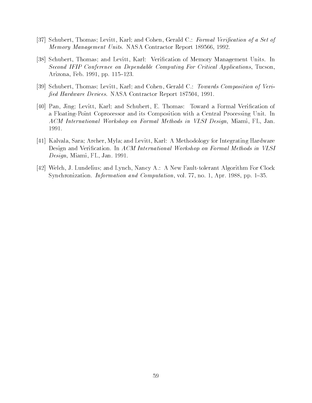- [37] Schubert, Thomas; Levitt, Karl; and Cohen, Gerald C.: Formal Verification of a Set of Memory Management Units. NASA Contractor Report 189566, 1992.
- [38] Schubert, Thomas; and Levitt, Karl: Verification of Memory Management Units. In Second IFIP Conference on Dependable Computing For Critical Applications, Tucson, Arizona, Feb. 1991, pp. 115–123.
- [39] Schubert, Thomas; Levitt, Karl; and Cohen, Gerald C.: Towards Composition of Veri fied Hardware Devices. NASA Contractor Report 187504, 1991.
- [40] Pan, Jing; Levitt, Karl; and Schubert, E. Thomas: Toward a Formal Verification of a Floating-Point Coprocessor and its Composition with a Central Processing Unit. In ACM International Workshop on Formal Methods in VLSI Design, Miami, FL, Jan. 1991.
- [41] Kalvala, Sara; Archer, Myla; and Levitt, Karl: A Methodology for Integrating Hardware Design and Verification. In ACM International Workshop on Formal Methods in VLSI Design, Miami, FL, Jan. 1991.
- [42] Welch, J. Lundelius; and Lynch, Nancy A.: A New Fault-tolerant Algorithm For Clock Synchronization. Information and Computation, vol. 77, no. 1, Apr. 1988, pp. 1-35.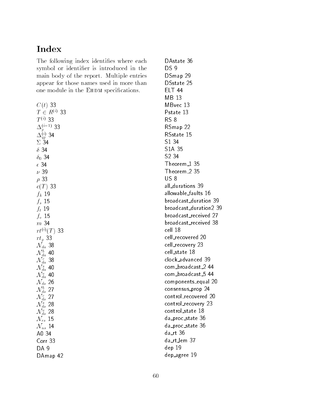# Index

The following index identifies where each symbol or identifier is introduced in the main body of the report. Multiple entries appear for those names used in more than one module in the EHDM specifications.

 $C(t)$  33  $T \in R^{(i)}$  33  $T^{(i)}$  33  $\Delta_p^{\scriptscriptstyle\vee}$  33  $\Delta_{q\,p}^{\scriptscriptstyle (\gamma)}$  34  $\Sigma$  34  $\delta$  34  $\delta_0$  34  $\epsilon$  34  $\nu$  39  $\rho$  33  $c(T)$  33  $f_k$  19  $f_s$  15  $f_t$  19  $f_v$  15 m 34  $rt^{(i)}(T)$  33  $rt_p$  33  $\mathcal{N}_{da}$  38 /V J. 4U  $\begin{array}{c} \mathcal{N}_{a}^{ca} \ \mathcal{N}_{da}^{s} \ \mathcal{N}_{da}^{s} \ \mathbf{40} \ \mathcal{N}_{da}^{v} \ \mathbf{40} \end{array}$  $\mathcal{N}_{ds}$  26  $N_{ds}^{c}$  27<br> $N_{ds}^{s}$  28  $N_{ds}$  20  $\mathcal{N}_{rs}$  15  $\mathcal{N}_{us}$  14 A0 34 Corr 33 DA 9 DAmap 42

DAstate 36 DS 9 DSmap 29 DSstate 25 ELT 44 MB 13 MBvec 13 Pstate 13 RS 8 RSmap 22 RSstate 15 S1 34 S1A 35 S2 34 Theorem<sub>-1</sub> 35 Theorem 2 35 US 8 all durations 39 allowable\_faults 16 broadcast duration 39 broadcast duration2 39 broadcast received 27 broadcast received 38 cell 18 cell recovered 20 cell\_recovery 23 cell state 18 clock advanced 39 com\_broadcast\_2 44 com\_broadcast\_5 44 components equal 20 consensus\_prop 24 control\_recovered 20 control\_recovery 23 control\_state 18 da proc state 36 da proc state 36 da\_rt 36 da rt lem 37 dep 19 dep agree 19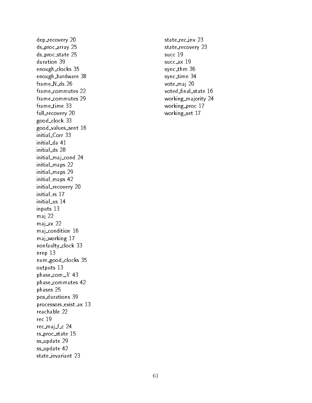dep recovery 20 ds are array 25 and 25 and 25 and 25 and 25 and 25 and 25 and 25 and 25 and 25 and 25 and 25 and 26 and 26 and ds proc state 25 duration 39 enough\_clocks 35 enough hardw are 38 frame\_commutes 22 frame commutes 22 frame commutes 29 frame time 33 full\_recovery 20 good clock 33 good\_values\_sent 16 initial Corr 33 initial da 41 initial ds 28 initial maj cond 24 initial\_maps 22 initial\_maps 29 initial maps 42 initial recovery 20 initial\_us 14 inputs 13 maj 22 maj\_ax 22 maj condition 16 maj w orking 17 nonfault and a second contract and a second contract of the second contract of the second contract of the second nrep 13 num\_good\_clocks 35 outputs 13 phase com X 43 phase commutes 42 phases 25 pos durations 39 processors exist ax 13 reachable 22 rec 19 rec maj f c 24 rs proc state 15 ss\_update 29 ss\_update 42 state invariant 23

state\_rec\_inv 23 state\_recovery 23 succ\_ax 19 sync\_thm 36 sync\_time 34 vote\_maj 20 voted\_final\_state 16 working\_majority 24 working\_proc 17 working set 17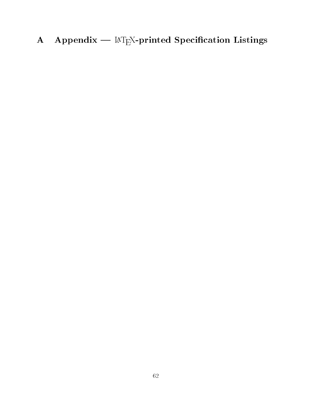A Appendix —  $\text{MT}_E X$ -printed Specification Listings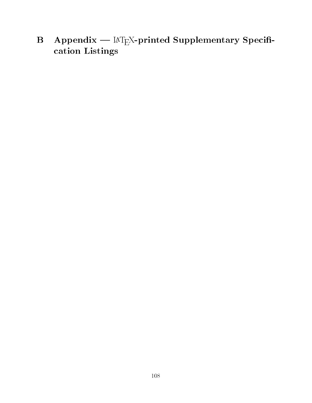B Appendix —  $\mathbb{A}T_{E}X$ -printed Supplementary Specification Listings